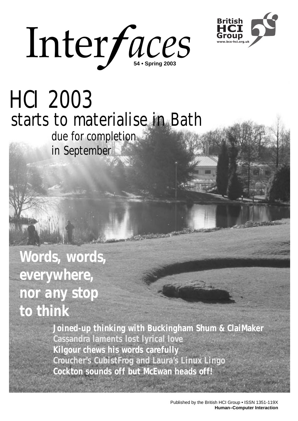



# HCI 2003 starts to materialise in Bath

*due for completion in September*

*Words, words, everywhere, nor any stop to think*

> **Joined-up thinking with Buckingham Shum & ClaiMaker Cassandra laments lost lyrical love Kilgour chews his words carefully Croucher's CubistFrog and Laura's Linux Lingo Cockton sounds off but McEwan heads off!**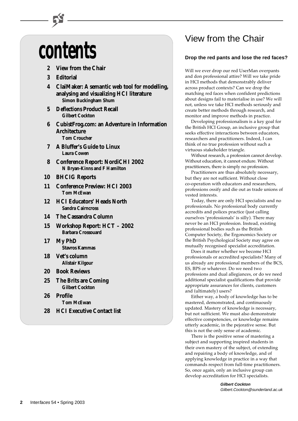# **contents**

- **2 View from the Chair**
- **3 Editorial**
- **4 ClaiMaker: A semantic web tool for modelling, analysing and visualizing HCI literature Simon Buckingham Shum**
- **5** *Deflections* **Product Recall Gilbert Cockton**
- **6 CubistFrog.com: an Adventure in Information Architecture Tom Croucher**
- **7 A Bluffer's Guide to Linux Laura Cowen**
- **8 Conference Report: NordiCHI 2002 N Bryan-Kinns and F Hamilton**
- **10 BHCIG Reports**
- **11 Conference Preview: HCI 2003 Tom McEwan**
- **12 HCI Educators' Heads North Sandra Cairncross**
- **14 The Cassandra Column**
- **15 Workshop Report: HCT 2002 Barbara Crossouard**
- **17 My PhD Stavros Kammas**
- **18 Vet's column Alistair Kilgour**
- **20 Book Reviews**
- **25 The Brits are Coming Gilbert Cockton**
- **26 Profile Tom McEwan**
- **28 HCI Executive Contact list**

# View from the Chair

#### **Drop the red pants and lose the red faces?**

Will we ever drop our red UserMan overpants and don professional attire? Will we take pride in HCI methods that demonstrably deliver across product contexts? Can we drop the matching red faces when confident predictions about designs fail to materialise in use? We will not, unless we take HCI methods seriously and create better methods through research, and monitor and improve methods in practice.

Developing professionalism is a key goal for the British HCI Group, an inclusive group that seeks effective interactions between educators, researchers and practitioners. Indeed, I can think of no true profession without such a virtuous stakeholder triangle.

Without research, a profession cannot develop. Without education, it cannot endure. Without practitioners, there is simply no profession.

Practitioners are thus absolutely necessary, but they are not sufficient. Without close co-operation with educators and researchers, professions ossify and die out as trade unions of vested interests.

Today, there are only HCI specialists and no professionals. No professional body currently accredits and polices practice (just calling ourselves 'professionals' is silly). There may never be an HCI profession. Instead, existing professional bodies such as the British Computer Society, the Ergonomics Society or the British Psychological Society may agree on mutually recognised specialist accreditation.

Does it matter whether we become HCI professionals or accredited specialists? Many of us already are professional members of the BCS, ES, BPS or whatever. Do we need two professions and dual allegiances, or do we need additional specialist qualifications that provide appropriate assurances for clients, customers and (ultimately) users?

Either way, a body of knowledge has to be mastered, demonstrated, and continuously updated. Mastery of knowledge is necessary, but not sufficient. We must also demonstrate effective competencies, or knowledge remains utterly academic, in the pejorative sense. But this is not the only sense of academic.

There is the positive sense of mastering a subject and supporting inspired students in their own mastery of the subject, of extending and repairing a body of knowledge, and of applying knowledge in practice in a way that commands respect from full-time practitioners. So, once again, only an inclusive group can develop accreditation for HCI specialists.

> **Gilbert Cockton** Gilbert.Cockton@sunderland.ac.uk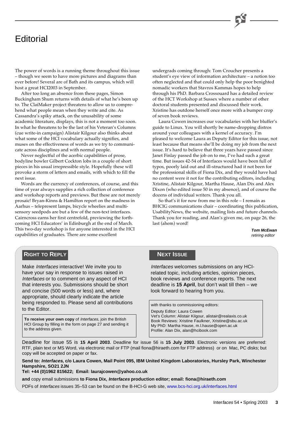# **Editorial**

The power of words is a running theme throughout this issue – though we seem to have more pictures and diagrams than ever before! Several are of Bath and its campus, which will host a great HCI2003 in September.

After too long an absence from these pages, Simon Buckingham Shum returns with details of what he's been up to. The ClaiMaker project threatens to allow us to comprehend what people mean when they write and cite. As Cassandra's spiky attack, on the unusability of some academic literature, displays, this is not a moment too soon. In what he threatens to be the last of his Veteran's Columns (cue write-in campaign) Alistair Kilgour also thinks about what some of the HCI vocabulary actually signifies, and muses on the effectiveness of words as we try to communicate across disciplines and with normal people.

Never neglectful of the acerbic capabilities of prose, bodyline bowler Gilbert Cockton lobs in a couple of short pieces in his usual irrepressible style. Hopefully these will provoke a storm of letters and emails, with which to fill the next issue.

Words are the currency of conferences, of course, and this time of year always supplies a rich collection of conference and workshop reports and previews. But these are not merely prosaic! Bryan-Kinns & Hamilton report on the madness in Aarhus – telepresent lamps, bicycle wheelies and multisensory seedpods are but a few of the non-text interfaces. Cairncross earns her first centrefold, previewing the forthcoming HCI Educators' in Edinburgh at the end of March. This two-day workshop is for anyone interested in the HCI capabilities of graduates. There are some excellent

undergrads coming through: Tom Croucher presents a student's eye view of information architecture – a notion too often neglected and that could only help the poor benighted nomadic workers that Stavros Kammas hopes to help through his PhD. Barbara Crossouard has a detailed review of the HCT Workshop at Sussex where a number of other doctoral students presented and discussed their work. Xristine has outdone herself once more with a bumper crop of seven book reviews.

Laura Cowen increases our vocabularies with her bluffer's guide to Linux. You will shortly be name-dropping distros around your colleagues with a kernel of accuracy. I'm pleased to welcome Laura as Deputy Editor for this issue, not least because that means she'll be doing my job from the next issue. It's hard to believe that three years have passed since Janet Finlay passed the job on to me, I've had such a great time. But issues 42-54 of Interfaces would have been full of typos, poorly laid out and ill-structured had it not been for the professional skills of Fiona Dix, and they would have had no content were it not for the contributing editors, including Xristine, Alistair Kilgour, Martha Hause, Alan Dix and Alex Dixon (who edited issue 50 in my absence), and of course the dozens of individual writers. Thank you all.

So that's it for now from me in this role – I remain as BHCIG communications chair – coordinating this publication, UsabilityNews, the website, mailing lists and future channels. Thank you for reading, and Alan's given me, on page 26, the last (ahem) word!

> **Tom McEwan** retiring editor

### **RIGHT TO REPLY**

Make Interfaces interactive! We invite you to have your say in response to issues raised in Interfaces or to comment on any aspect of HCI that interests you. Submissions should be short and concise (500 words or less) and, where appropriate, should clearly indicate the article being responded to. Please send all contributions to the Editor.

**To receive your own copy** of Interfaces, join the British HCI Group by filling in the form on page 27 and sending it to the address given.

#### **NEXT ISSUE**

Interfaces welcomes submissions on any HCIrelated topic, including articles, opinion pieces, book reviews and conference reports. The next deadline is **15 April**, but don't wait till then – we look forward to hearing from you.

with thanks to commissioning editors:

Deputy Editor: Laura Cowen

Vet's Column: Alistair Kilgour, alistair@realaxis.co.uk Book Reviews: Xristine Faulkner, Xristine@sbu.ac.uk My PhD: Martha Hause, m.l.hause@open.ac.uk Profile: Alan Dix, alan@hcibook.com

Deadline for issue 55 is **15 April 2003**. Deadline for issue 56 is **15 July 2003**. Electronic versions are preferred: RTF, plain text or MS Word, via electronic mail or FTP (mail fiona@hiraeth.com for FTP address) or on Mac, PC disks; but copy will be accepted on paper or fax.

**Send to: Interfaces, c/o Laura Cowen, Mail Point 095, IBM United Kingdom Laboratories, Hursley Park, Winchester Hampshire, SO21 2JN**

**Tel: +44 (0)1962 815622; Email: laurajcowen@yahoo.co.uk**

**and** copy email submissions **to Fiona Dix, Interfaces production editor; email: fiona@hiraeth.com**

PDFs of Interfaces issues 35–53 can be found on the B-HCI-G web site, [www.bcs-hci.org.uk/interfaces.html](http://www.bcs-hci.org.uk/interfaces.html)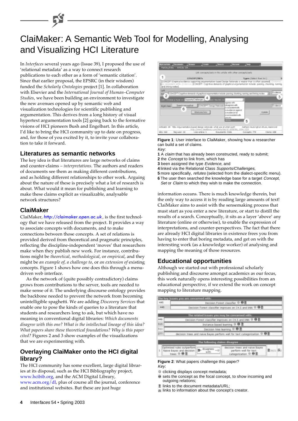# ClaiMaker: A Semantic Web Tool for Modelling, Analysing and Visualizing HCI Literature

In *Interfaces* several years ago (Issue 39), I proposed the use of 'relational metadata' as a way to connect research publications to each other as a form of 'semantic citation'. Since that earlier proposal, the EPSRC (in their wisdom) funded the *Scholarly Ontologies* project [1]. In collaboration with Elsevier and the *International Journal of Human–Computer Studies*, we have been building an environment to investigate the new avenues opened up by semantic web and visualization technologies for scientific publishing and argumentation. This derives from a long history of visual hypertext argumentation tools [2] going back to the formative visions of HCI pioneers Bush and Engelbart. In this article, I'd like to bring the HCI community up to date on progress, and, for those of you excited by it, to invite your collaboration to take it forward.

### **Literatures as semantic networks**

The key idea is that literatures are large networks of claims and counter-claims – *interpretations*. The authors and readers of documents see them as making different contributions, and as holding different relationships to other work. Arguing about the nature of these is precisely what a lot of research is about. What would it mean for publishing and learning to make these claims explicit as visualizable, analysable network structures?

#### **ClaiMaker**

ClaiMaker, [http://claimaker.open.ac.uk](http://claimaker.open.ac.uk/), is the first technology that we have released from the project. It provides a way to associate concepts with documents, and to make connections between those concepts. A set of relations is provided derived from theoretical and pragmatic principles, reflecting the discipline-independent 'moves' that researchers make when they publish new work. For instance, contributions might be *theoretical*, *methodological*, or *empirical*, and they might be *an example of*, *a challenge to*, or *an extension of* existing concepts. Figure 1 shows how one does this through a menudriven web interface.

As the network of (quite possibly contradictory) claims grows from contributions to the server, tools are needed to make sense of it. The underlying discourse ontology provides the backbone needed to prevent the network from becoming unintelligible spaghetti. We are adding *Discovery Services* that enable one to pose the kinds of queries to a literature that students and researchers long to ask, but which have no meaning in conventional digital libraries: *Which documents disagree with this one? What is the intellectual lineage of this idea? What papers share these theoretical foundations? Why is this paper cited?* Figures 2 and 3 show examples of the visualizations that we are experimenting with.

### **Overlaying ClaiMaker onto the HCI digital library?**

The HCI community has some excellent, large digital libraries at its disposal, such as the HCI Bibliography project, [www.hcibib.org,](http://www.hcibib.org) and the ACM Digital Library, [www.acm.org/dl,](http://www.acm.org/dl/) plus of course all the journal, conference and institutional websites. But these are just huge



**Figure 1**: User interface to ClaiMaker, showing how a researcher can build a set of claims. Key:

- **1** A claim that has already been constructed, ready to submit;
- **2** the Concept to link from, which has
- **3** been assigned the type Evidence, and
- **4** linked via the Relational Class Supports/Challenges,
- **5** more specifically, refutes (selected from the dialect-specific menu).
- **6** The user then searched the knowledge base for a target *Concept*, Set or Claim to which they wish to make the connection.

information oceans. There is much knowledge therein, but the only way to access it is by reading large amounts of text! ClaiMaker aims to assist with the sensemaking process that must start as you enter a new literature, or start to distill the results of a search. Conceptually, it sits as a layer 'above' any literature (online or otherwise), to enable the expression of interpretations, and counter-perspectives. The fact that there are already HCI digital libraries in existence frees you from having to enter that boring metadata, and get on with the interesting work (as a knowledge worker) of analysing and mapping the meaning of those resources.

### **Educational opportunities**

Although we started out with professional scholarly publishing and discourse amongst academics as our focus, this work naturally opens interesting possibilities from an educational perspective, if we extend the work on concept mapping to literature mapping.



**Figure 2**: What papers challenge this paper?

- Key:
- clicking displays concept metadata;
- $\bullet$  sets the concept as the focal concept, to show incoming and outgoing relations:
- links to the document metadata/URL;
- **El links to information about the concept's creator.**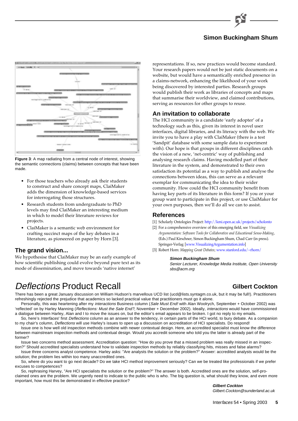

### **Simon Buckingham Shum**



**Figure 3**: A map radiating from a central node of interest, showing the semantic connections (claims) between concepts that have been made.

- For those teachers who already ask their students to construct and share concept maps, ClaiMaker adds the dimension of knowledge-based services for interrogating those structures.
- Research students from undergraduate to PhD levels may find ClaiMaker an interesting medium in which to model their literature reviews for projects.
- ClaiMaker is a semantic web environment for crafting succinct maps of the key debates in a literature, as pioneered on paper by Horn [3].

#### **The grand vision...**

We hypothesise that ClaiMaker may be an early example of how scientific publishing could evolve beyond pure text as its mode of dissemination, and move towards 'native internet'

representations. If so, new practices would become standard. Your research papers would not be just static documents on a website, but would have a semantically enriched presence in a claims-network, enhancing the likelihood of your work being discovered by interested parties. Research groups would publish their work as libraries of concepts and maps that summarise their worldview, and claimed contributions, serving as resources for other groups to reuse.

#### **An invitation to collaborate**

The HCI community is a candidate 'early adopter' of a technology such as this, given its interest in novel user interfaces, digital libraries, and its literacy with the web. We invite you to have a play with ClaiMaker (there is a test 'Sandpit' database with some sample data to experiment with). Our hope is that groups in different disciplines catch the vision of a new, 'net-centric' way of publishing and analysing research claims. Having modelled part of their literature in the system, and demonstrated to their own satisfaction its potential as a way to publish and analyse the connections between ideas, this can serve as a relevant exemplar for communicating the idea to their wider community. How could the HCI community benefit from having key parts of its literature in this form? If you or your group want to participate in this project, or use ClaiMaker for your own purposes, then we'll do all we can to assist.

#### **References**

- [1] Scholarly Ontologies Project: [http://kmi.open.ac.uk/projects/scholonto](http://kmi.open.ac.uk/projects/scholonto/)
- [2] For a comprehensive overview of this emerging field, see *Visualizing Argumentation: Software Tools for Collaborative and Educational Sense-Making*, (Eds.) Paul Kirschner, Simon Buckingham Shum, Chad Carr (in press). Springer-Verlag [\[www.VisualizingArgumentation.info\]](http://www.VisualizingArgumentation.info/)
- [3] Robert Horn: *Mapping Great Debates*; [www.stanford.edu/~rhorn/](http://www.stanford.edu/~rhorn/)

#### **Simon Buckingham Shum**

Senior Lecturer, Knowledge Media Institute, Open University sbs@acm.org

# Deflections Product Recall

### **Gilbert Cockton**

There has been a great January discussion on William Hudson's marvellous UCD list (ucd@lists.syntagm.co.uk, but it may be full!). Practitioners refreshingly rejected the prejudice that academics so lacked practical value that practitioners must go it alone.

Personally, this was heartening after my interactions Business column (Sale Must End! with Alan Woolrych, September + October 2002) was 'reflected' on by Harley Manning (Reflections: Must the Sale End?, November + December 2002). Ideally, interactions would have commissioned a dialogue between Harley, Alan and I to move the issues on, but the editor's email appears to be broken. I got no reply to my emails.

So, here's Interfaces' first Deflections column as an answer to the tendency, in certain parts of the HCI world, to bury debate. As a companion to my chair's column, Deflections will use Harley's issues to open up a discussion on accreditation of HCI specialists. Do respond!

Issue one is how well old inspection methods combine with newer contextual design. Here, an accredited specialist must know the difference between mainstream inspection methods and contextual design. Would you accredit someone who told you the latter is already part of the former?

Issue two concerns method assessment. Accreditation question: "How do you prove that a missed problem was really missed in an inspection?" Should accredited specialists understand how to validate inspection methods by reliably classifying hits, misses and false alarms?

Issue three concerns analyst competence. Harley asks: "Are analysts the solution or the problem?" Answer: accredited analysts would be the solution; the problem lies within too many unaccredited ones.

So, where do you want to go next decade? Do we take HCI method improvement seriously? Can we be treated like professionals if we prefer excuses to competences?

So, rephrasing Harvey, "Are HCI specialists the solution or the problem?" The answer is both. Accredited ones are the solution, self-proclaimed ones are the problem. We urgently need to indicate to the public who is who. The big question is, what should they know, and even more important, how must this be demonstrated in effective practice?

**Gilbert Cockton** Gilbert.Cockton@sunderland.ac.uk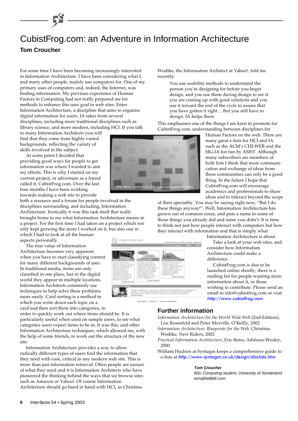# CubistFrog.com: an Adventure in Information Architecture **Tom Croucher**

For some time I have been becoming increasingly interested in Information Architecture. I have been considering what I, and many other people, mainly use computers for. One of my primary uses of computers and, indeed, the Internet, was finding information. My previous experience of Human Factors in Computing had not really prepared me for methods to enhance this user goal in web sites. Enter Information Architecture, a discipline that aims to organise digital information for users. IA takes from several disciplines, including more traditional disciplines such as library science, and more modern, including HCI. If you talk

to many Information Architects you will find that they come from highly varied backgrounds, reflecting the variety of skills involved in the subject.

At some point I decided that providing good ways for people to get information was where I wanted to aim my efforts. This is why I started on my current project, or adventure as a friend called it, CubistFrog.com. Over the last four months I have been working towards making a web site to provide

both a resource and a forum for people involved in the disciplines surrounding, and including, Information Architecture. Ironically it was this task itself that really brought home to me what Information Architecture means in a project. For the first time I had taken on a project which not only kept growing the more I worked on it, but also one in which I had to look at all the human

aspects personally.

The true value of Information Architecture becomes very apparent when you have to start classifying content for many different backgrounds of user. In traditional media, items are only classified in one place, but in the digital world they appear in multiple locations. Information Architects commonly use techniques to help solve these problems more easily. Card sorting is a method in which you write down each topic on a card and then sort them into categories, in

order to quickly work out where items should be. It is particularly useful when used on sample users, to see what categories users expect items to be in. It was this, and other Information Architecture techniques, which allowed me, with the help of some friends, to work out the structure of the new site.

Information Architecture provides a way to allow radically different types of users find the information that they need with ease, critical in any modern web site. This is more than just information retrieval. Often people are unsure of what they need and it is Information Architects who have pioneered the thinking behind the ways that we browse sites such as Amazon or Yahoo!. Of course Information Architecture should go hand in hand with HCI, as Christina

Wodtke, the Information Architect at Yahoo!, told me recently:

> You use usability methods to understand the person you're designing for before you begin design, and you use them during design to see if you are coming up with good solutions and you use it toward the end of the cycle to assure that you have gotten it right… But you still have to design. IA helps there.

This emphasises one of the things I am keen to promote for CubistFrog.com, understanding between disciplines for

> Human Factors on the web. There are many great e-lists for HCI and IA such as the ACM's CHI-WEB and the SIG-IA list run by ASIST. Although many subscribers are members of both lists I think that more communication and exchange of ideas from these communities can only be a good thing. In the future I hope that CubistFrog.com will encourage academics and professionals to share ideas and to interact beyond the scope

of their speciality. You may be saying right now, "But I do these things anyway!". Well, Information Architecture has grown out of common sense, and puts a name to some of those things you already did and some you didn't. It is time to think not just how people interact with computers but how they interact with information and that is simply what



del 11 antigare 11

Information Architecture is about. Take a look at your web sites, and consider how Information Architecture could make a difference.

CubistFrog.com is due to be launched online shortly; there is a mailing list for people wanting more information about it, or those wishing to contribute. Please send an email to info@cubistfrog.com or visit [http://www.cubistfrog.com](http://www.cubistfrog.com/).

### **Further information**

*Information Architecture for the World Wide Web* (2nd Edition), Lou Rosenfeld and Peter Morville, O'Reilly, 2002

- *Information Architecture: Blueprints for the Web*, Christina Wodtke, New Riders, 2002
- *Practical Information Architecture*, Eric Reiss, Addison-Wesley, 2000
- William Hudson at Syntagm keeps a comprehensive guide to e-lists at <http://www.syntagm.co.uk/design/disclists.htm>

#### **Tom Croucher**

BSc Computing student, University of Sunderland tom@kid666.com

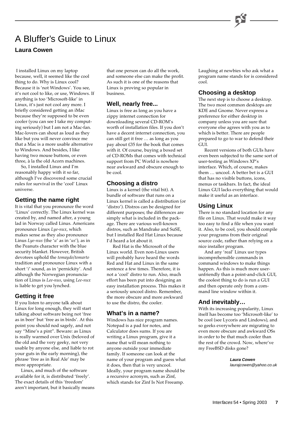# A Bluffer's Guide to Linux **Laura Cowen**

 I installed Linux on my laptop because, well, it seemed like the cool thing to do. Why is Linux cool? Because it is 'not Windows'. You see, it's not cool to like, or use, Windows. If anything is too 'Microsoft-like' in Linux, it's just not cool any more. I briefly considered getting an iMac because they're supposed to be even cooler (you can see I take my computing seriously) but I am not a Mac-fan. Mac-lovers can shout as loud as they like but you will never convince me that a Mac is a more usable alternative to Windows. And besides, I like having two mouse buttons, or even three, à la the old Acorn machines.

So, I installed Linux and I'm reasonably happy with it so far, although I've discovered some crucial rules for survival in the 'cool' Linux universe.

#### **Getting the name right**

It is vital that you pronounce the word 'Linux' correctly. The Linux kernel was created by, and named after, a young lad in Norway called Linus. Americans pronounce Linux *Lye-nux*, which makes sense as they also pronounce Linus *Lye-nus* (the '*u*' as in '*us*'), as in the Peanuts character with the blue security blanket. However, British devotees uphold the *tomaydo/tomarto* tradition and pronounce Linux with a short '*i*' sound, as in 'pernickity'. And although the Norwegian pronunciation of Linus is *Lee-nus*, using *Lee-nux* is liable to get you lynched.

#### **Getting it free**

If you listen to anyone talk about Linux for long enough, they will start talking about software being not 'free as in beer' but 'free as in birds'. At this point you should nod sagely, and not say "Mine's a pint". Beware: as Linux is really warmed over Unix (beloved of the old and the very geeky, not very usable by anyone else, and liable to rot your guts in the early morning), the phrase 'free as in Real Ale' may be more appropriate.

Linux, and much of the software available for it, is distributed 'freely'. The exact details of this 'freedom' aren't important, but it basically means

that one person can do all the work, and someone else can make the profit. As such it is one of the reasons that Linux is proving so popular in business.

#### **Well, nearly free...**

Linux is free as long as you have a zippy internet connection for downloading several CD-ROM's worth of installation files. If you don't have a decent internet connection, you can still get it free … as long as you pay about £35 for the book that comes with it. Of course, buying a boxed set of CD-ROMs that comes with technical support from PC World is nowhere near awkward and obscure enough to be cool.

### **Choosing a distro**

Linux is a kernel (the vital bit). A bundle of software that runs on a Linux kernel is called a distribution (or 'distro'). Distros can be designed for different purposes; the differences are simply what is included in the package. There are various well-known distros, such as Mandrake and SuSE, but I installed Red Hat Linux because I'd heard a lot about it.

Red Hat is the Microsoft of the Linux world. Even non-Linux users will probably have heard the words Red and Hat and Linux in the same sentence a few times. Therefore, it is not a 'cool' distro to run. Also, much effort has been put into designing an easy installation process. This makes it a seriously uncool distro. Remember, the more obscure and more awkward to use the distro, the cooler.

### **What's in a name?**

Windows has nice program names. Notepad is a pad for notes, and Calculator does sums. If you are writing a Linux program, give it a name that will mean nothing to anyone outside your immediate family. If someone can look at the name of your program and guess what it does, then that is very uncool. Ideally, your program name should be a recursive acronym, such as Zinf, which stands for Zinf Is Not Freeamp.

Laughing at newbies who ask what a program name stands for is considered cool.

### **Choosing a desktop**

The next step is to choose a desktop. The two most common desktops are KDE and Gnome. Never express a preference for either desktop in company unless you are sure that everyone else agrees with you as to which is better. There are people prepared to go to war to defend their  $\bar{\text{GUE}}$ 

Recent versions of both GUIs have even been subjected to the same sort of user-testing as Windows XP's interface. Which, of course, makes them … uncool. A better bet is a GUI that has no visible buttons, icons, menus or taskbars. In fact, the ideal Linux GUI lacks everything that would make it useful as an interface.

### **Using Linux**

There is no standard location for any file on Linux. That would make it way too easy to find a file when you want it. Also, to be cool, you should compile your programs from their original source code, rather than relying on a nice installer program.

And any 'real' Linux usr types incomprehensible commands in command windows to make things happen. As this is much more userunfriendly than a point-and-click GUI, the coolest thing to do is run a GUI and then operate only from a command line window within it.

### **And inevitably…**

With its increasing popularity, Linux itself has become too 'Microsoft-like' to be cool (see Lycoris and Lindows), and so geeks everywhere are migrating to even more obscure and awkward OSs in order to be that much cooler than the rest of the crowd. Now, where've my FreeBSD disks gone?

> **Laura Cowen** laurajcowen@yahoo.co.uk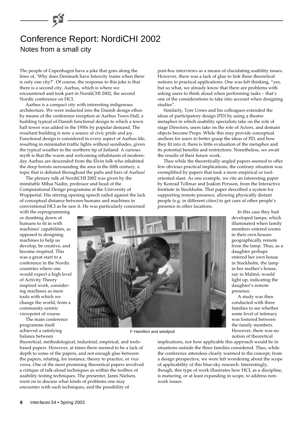# Conference Report: NordiCHI 2002 Notes from a small city

The people of Copenhagen have a joke that goes along the lines of, 'Why does Denmark have Intercity trains when there is only one city?'. Of course, the response to this joke is that there is a second city, Aarhus, which is where we encountered and took part in NordiCHI 2002, the second Nordic conference on HCI.

Aarhus is a compact city with interesting indigenous architecture. We were inducted into the Danish design ethos by means of the conference reception at Aarhus Town Hall, a building typical of Danish functional design to which a town hall tower was added in the 1950s by popular demand. The resultant building is now a source of civic pride and joy. Functional design is considered in every aspect of Aarhus life, resulting in minimalist traffic lights without sunshades, given the typical weather in the northern tip of Jutland. A curious myth is that the warm and welcoming inhabitants of modernday Aarhus are descended from the Elvin folk who inhabited the deep forests surrounding the area in the fifth century, a topic that is debated throughout the pubs and bars of Aarhus!

The plenary talk of NordiCHI 2002 was given by the inimitable Mihai Nadin, professor and head of the Computational Design programme at the University of Wuppertal. His stirring opening speech railed against the lack of conceptual distance between humans and machines in conventional HCI as he saw it. He was particularly concerned

post-hoc interviews as a means of elucidating usability issues. However, there was a lack of glue to link these theoretical notions to practical applications. One was left thinking, "yes, but so what, we already know that there are problems with asking users to think aloud when performing tasks – that's one of the considerations to take into account when designing studies".

Similarly, Tore Urnes and his colleagues extended the ideas of participatory design (PD) by using a theatre metaphor in which usability specialists take on the role of stage Directors, users take on the role of Actors, and domain objects become Props. While this may provide conceptual anchors for users to better grasp the ideas of PD, and how they fit into it, there is little evaluation of the metaphor and its potential benefits and restrictions. Nonetheless, we await the results of their future work.

Thus while the theoretically-angled papers seemed to offer few obvious practical implications, the contrary situation was exemplified by papers that took a more empirical or tooloriented slant. As one example, we cite an interesting paper by Konrad Tollmar and Joakim Persson, from the Interactive Institute in Stockholm. That paper described a system for supporting remote presence, allowing physically distant people (e.g. in different cities) to get cues of other people's presence in other locations. In this case they had

> developed lamps, which illuminated when family members entered rooms in their own houses geographically remote from the lamp. Thus, as a daughter perhaps entered her own house in Stockholm, the lamp in her mother's house, say in Malmö, would light up, indicating the daughter's remote

with the reprogramming or dumbing down of humans to fit in with machines' capabilities, as opposed to designing machines to help us develop, be creative, and become inspired. This was a great start to a conference in the Nordic countries where one would expect a high level of Activity Theory inspired work, considering machines as mere tools with which we change the world, from a community-centric viewpoint of course.

The main conference programme itself achieved a satisfying balance between



F Hamilton and seedpod

theoretical, methodological, industrial, empirical, and toolsbased papers. However, at times there seemed to be a lack of depth to some of the papers, and not enough glue between the papers, relating, for instance, theory to practice, or vice versa. One of the most promising theoretical papers involved a critique of talk-aloud techniques as within the toolbox of usability testing techniques. The presenter, Janni Nielsen, went on to discuss what kinds of problems one may encounter with such techniques, and the possibility of

implications, nor how applicable this approach would be in situations outside the three families considered. Thus, while the conference attendees clearly warmed to the concept, from a design perspective, we were left wondering about the scope of applicability of this blue-sky research. Interestingly, though, this type of work illustrates how HCI, as a discipline, is maturing, or at least expanding in scope, to address nonwork issues.

some level of intimacy was fostered between the family members. However, there was no notion of theoretical

presence.

A study was then conducted with three families to see whether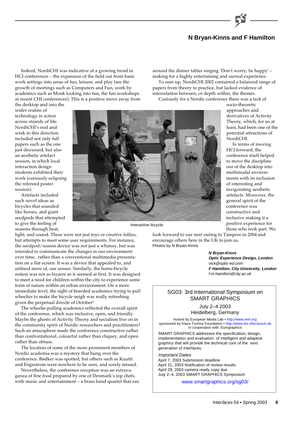### **N Bryan-Kinns and F Hamilton**

around the dinner tables singing 'Don't worry, be happy' – making for a highly entertaining and surreal experience. To sum up, NordiCHI 2002 contained a balanced range of

papers from theory to practice, but lacked evidence of

Indeed, NordiCHI was indicative of a growing trend in HCI conferences – the expansion of the field out from basic work settings into areas of fun, leisure, and play (see the growth of meetings such as Computers and Fun, work by academics such as Monk looking into fun, the fun workshops at recent CHI conferences). This is a positive move away from

the desktop and into the wider realms of technology in action across strands of life. NordiCHI's nod and wink in this direction included not only full papers such as the one just discussed, but also an aesthetic artefact session, in which local interaction design students exhibited their work (curiously eclipsing the refereed poster session).

Artefacts included such novel ideas as bicycles that sounded like horses, and giant seedpods that attempted to give the feeling of seasons through heat,

light, and sound. These were not just toys or creative follies, but attempts to meet some user requirements. For instance, the seedpod/season device was not just a whimsy, but was intended to communicate the changes in our environment over time, rather than a conventional multimedia presentation on a flat screen. It was a device that appealed to, and utilised more of, our senses. Similarly, the horse-bicycle notion was not as bizarre as it seemed at first. It was designed to meet a need for children within the city to experience some form of nature within an urban environment. On a more immediate level, the sight of bearded academics trying to pull wheelies to make the bicycle neigh was really refreshing given the perpetual drizzle of October!

The wheelie-pulling academics reflected the overall spirit of the conference, which was inclusive, open, and friendly. Maybe the ghosts of Activity Theory and socialism live on in the community spirit of Nordic researchers and practitioners? Such an atmosphere made the conference constructive rather than confrontational, colourful rather than cliquey, and open rather than obtuse.

The location of some of the more prominent members of Nordic academia was a mystery that hung over the conference. Bødker was spotted, but others such as Kuutti and Engestrom were nowhere to be seen, and sorely missed.

Nevertheless, the conference reception was an extravaganza of fine food prepared by one of Denmark's top chefs, with music and entertainment – a brass band quartet that ran

interrelation between, or depth within, the themes. Curiously for a Nordic conference there was a lack of socio-theoretic approaches and derivatives of Activity Theory, which, for us at least, had been one of the potential attractions of NordiCHI.

In terms of moving HCI forward, the conference itself helped to move the discipline out of the desktop into multimodal environments with its inclusion of interesting and invigorating aesthetic artefacts. Moreover, the general spirit of the conference was constructive and inclusive making it a positive experience for those who took part. We

look forward to our next outing to Tampere in 2004 and encourage others here in the UK to join us. Photos by N Bryan-Kinns

**N Bryan-Kinns**

**Optic Experience Design, London** nick@optic-ed.com **F Hamilton, City University, London** f.m.hamilton@city.ac.uk

#### SG03: 3rd International Symposium on SMART GRAPHICS

#### July 2–4 2003

Heidelberg, Germany

hosted by European Media Lab • [http://www.eml.org](http://www.eml.org/) sponsored by Klaus Tschira Foundation • [http://www.kts.villa-bosch.de](http://www.kts.villa-bosch.de/) In cooperation with: Eurographics

SMART GRAPHICS addresses the specification, design, implementation and evaluation of intelligent and adaptive graphics that will provide the technical core of the next generation of interfaces.

#### Important Dates

April 7, 2003 Submission deadline April 21, 2003 Notification of review results April 28, 2003 camera ready copy due July 2–4, 2003 SMART GRAPHICS Symposium

[www.smartgraphics.org/sg03/](http://www.smartgraphics.org/sg03/)



Interactive bicycle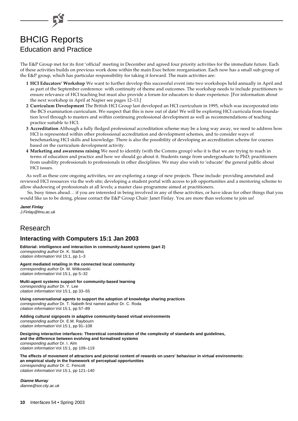

# BHCIG Reports Education and Practice

The E&P Group met for its first 'official' meeting in December and agreed four priority activities for the immediate future. Each of these activities builds on previous work done within the main Exec before reorganisation. Each now has a small sub-group of the E&P group, which has particular responsibility for taking it forward. The main activities are:

- **1 HCI Educators' Workshop** We want to further develop this successful event into two workshops held annually in April and as part of the September conference with continuity of theme and outcomes. The workshop needs to include practitioners to ensure relevance of HCI teaching but must also provide a forum for educators to share experience. [For information about the next workshop in April at Napier see pages 12–13.]
- **2 Curriculum Development** The British HCI Group last developed an HCI curriculum in 1995, which was incorporated into the BCS examination curriculum. We suspect that this is now out of date! We will be exploring HCI curricula from foundation level through to masters and within continuing professional development as well as recommendations of teaching practice suitable to HCI.
- **3 Accreditation** Although a fully fledged professional accreditation scheme may be a long way away, we need to address how HCI is represented within other professional accreditation and development schemes, and to consider ways of benchmarking HCI skills and knowledge. There is also the possibility of developing an accreditation scheme for courses based on the curriculum development activity.
- **4 Marketing and awareness raising** We need to identify (with the Comms group) who it is that we are trying to reach in terms of education and practice and how we should go about it. Students range from undergraduate to PhD; practitioners from usability professionals to professionals in other disciplines. We may also wish to 'educate' the general public about HCI issues.

As well as these core ongoing activities, we are exploring a range of new projects. These include: providing annotated and reviewed HCI resources via the web site; developing a student portal with access to job opportunities and a mentoring scheme to allow shadowing of professionals at all levels; a master class programme aimed at practitioners.

 So, busy times ahead… if you are interested in being involved in any of these activities, or have ideas for other things that you would like us to be doing, please contact the E&P Group Chair: Janet Finlay. You are more than welcome to join us!

#### **Janet Finlay**

J.Finlay@lmu.ac.uk

# Research

### **Interacting with Computers 15:1 Jan 2003**

**Editorial: intelligence and interaction in community-based systems (part 2)** corresponding author Dr. K. Stathis citation information Vol 15:1, pp 1–3

**Agent mediated retailing in the connected local community** corresponding author Dr. M. Witkowski citation information Vol 15:1, pp 5–32

**Multi-agent systems support for community-based learning** corresponding author Dr. Y. Lee citation information Vol 15:1, pp 33–55

**Using conversational agents to support the adoption of knowledge sharing practices** corresponding author Dr. T. Nabeth first named author Dr. C. Roda citation information Vol 15:1, pp 57–89

**Adding cultural signposts in adaptive community-based virtual environments** corresponding author Dr. E.M. Raybourn citation information Vol 15:1, pp 91–108

**Designing interactive interfaces: Theoretical consideration of the complexity of standards and guidelines, and the difference between evolving and formalised systems** corresponding author Dr. I. Alm citation information Vol 15:1, pp 109–119

**The effects of movement of attractors and pictorial content of rewards on users' behaviour in virtual environments: an empirical study in the framework of perceptual opportunities** corresponding author Dr. C. Fencott citation information Vol 15:1, pp 121–140

**Dianne Murray** dianne@soi.city.ac.uk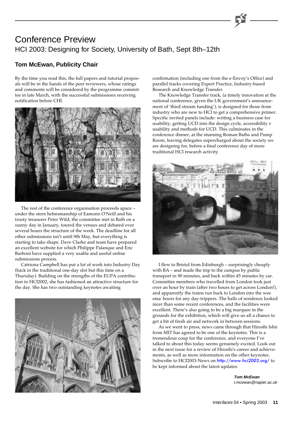# Conference Preview HCI 2003: Designing for Society, University of Bath, Sept 8th–12th

### **Tom McEwan, Publicity Chair**

By the time you read this, the full papers and tutorial proposals will be in the hands of the peer reviewers, whose ratings and comments will be considered by the programme committee in late March, with the successful submissions receiving notification before CHI.



The rest of the conference organisation proceeds apace – under the stern helmsmanship of Eamonn O'Neill and his trusty treasurer Peter Wild, the committee met in Bath on a sunny day in January, toured the venues and debated over several hours the structure of the week. The deadline for all other submissions isn't until 9th May, but everything is starting to take shape. Dave Clarke and team have prepared an excellent website for which Philippe Palanque and Eric Barboni have supplied a very usable and useful online submissions process.

Catriona Campbell has put a lot of work into Industry Day (back in the traditional one-day slot but this time on a Thursday). Building on the strengths of the EUPA contribution to HCI2002, she has fashioned an attractive structure for the day. She has two outstanding keynotes awaiting



confirmation (including one from the e-Envoy's Office) and parallel tracks covering Expert Practice, Industry-based Research and Knowledge Transfer.

The Knowledge Transfer track, (a timely innovation at the national conference, given the UK government's announcement of 'third stream funding'), is designed for those from industry who are new to HCI to get a comprehensive primer. Specific invited panels include: writing a business case for usability, getting UCD into the design cycle, accessibility v usability and methods for UCD. This culminates in the conference dinner, at the stunning Roman Baths and Pump Room, leaving delegates supercharged about the society we are designing for, before a final conference day of more traditional HCI research activity.



I flew to Bristol from Edinburgh – surprisingly cheaply with BA – and made the trip to the campus by public transport in 90 minutes, and back within 45 minutes by car. Committee members who travelled from London took just over an hour by train (after two hours to get across London!), and apparently the trains run back to London into the wee sma' hoors for any day-trippers. The halls of residence looked nicer than some recent conferences, and the facilities were excellent. There's also going to be a big marquee in the grounds for the exhibition, which will give us all a chance to get a bit of fresh air and network in between sessions.

As we went to press, news came through that Hiroshi Ishii from MIT has agreed to be one of the keynotes. This is a tremendous coup for the conference, and everyone I've talked to about this today seems genuinely excited. Look out in the next issue for a review of Hiroshi's career and achievements, as well as more information on the other keynotes. Subscribe to HCI2003-News on <http://www.hci2003.org/> to be kept informed about the latest updates.

> **Tom McEwan** t.mcewan@napier.ac.uk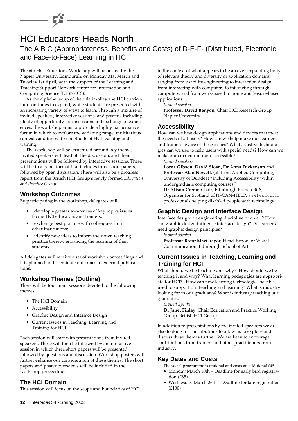# HCI Educators' Heads North The A B C (Appropriateness, Benefits and Costs) of D-E-F- (Distributed, Electronic and Face-to-Face) Learning in HCI

The 6th HCI Educators' Workshop will be hosted by the Napier University, Edinburgh, on Monday 31st March and Tuesday 1st April, with the support of the Learning and Teaching Support Network centre for Information and Computing Science (LTSN-ICS).

As the alphabet soup of the title implies, the HCI curriculum continues to expand, while students are presented with an increasing variety of ways to learn. Through a mixture of invited speakers, interactive sessions, and posters, including plenty of opportunity for discussion and exchange of experiences, the workshop aims to provide a highly participative forum in which to explore the widening range, multifarious contexts and innovative methods of HCI teaching and training.

The workshop will be structured around key themes. Invited speakers will lead off the discussion, and their presentations will be followed by interactive sessions. These will be in a panel format that includes three short papers, followed by open discussion. There will also be a progress report from the British HCI Group's newly formed *Education and Practice Group*.

#### **Workshop Outcomes**

By participating in the workshop, delegates will

- develop a greater awareness of key topics issues facing HCI educators and trainers;
- exchange best practice with colleagues from other institutions;
- identify new ideas to inform their own teaching practice thereby enhancing the learning of their students.

All delegates will receive a set of workshop proceedings and it is planned to disseminate outcomes in external publications.

### **Workshop Themes (Outline)**

There will be four main sessions devoted to the following themes:

- The HCI Domain
- Accessibility
- Graphic Design and Interface Design
- Current Issues in Teaching, Learning and Training for HCI

Each session will start with presentations from invited speakers. These will then be followed by an interactive session in which three short papers will be presented, followed by questions and discussion. Workshop posters will further enhance our consideration of these themes. The short papers and poster overviews will be included in the workshop proceedings.

### **The HCI Domain**

This session will focus on the scope and boundaries of HCI,

in the context of what appears to be an ever-expanding body of relevant theory and diversity of application domains, ranging from usability engineering to interaction design, from interacting with computers to interacting through computers, and from work-based to home and leisure-based applications.

*Invited speaker*

**Professor David Benyon**, Chair HCI Research Group, Napier University

### **Accessibility**

How can we best design applications and devices that meet the needs of all users? How can we help make our learners and trainees aware of these issues? What assistive technologies can we use to help users with special needs? How can we make our curriculum more accessible?

*Invited speakers*

**Lorna Gibson, David Sloan, Dr Anna Dickenson** and **Professor Alan Newell**, (all from Applied Computing, University of Dundee) "Including Accessibility within undergraduate computing courses"

**Dr Alison Crerar**, Chair, Edinburgh Branch BCS, Organiser for Scotland of IT-CAN-HELP, a network of IT professionals helping disabled people with technology

### **Graphic Design and Interface Design**

Interface design: an engineering discipline or an art? How can graphic design influence interface design? Do learners need graphic design principles?

*Invited speaker*

**Professor Brent MacGregor**, Head, School of Visual Communication, Edinburgh School of Art

#### **Current Issues in Teaching, Learning and Training for HCI**

What should we be teaching and why? How should we be teaching it and why? What learning pedagogies are appropriate for HCI? How can new learning technologies best be used to support our teaching and learning? What is industry looking for in our graduates? What is industry teaching our graduates?

*Invited Speaker*

**Dr Janet Finlay**, Chair Education and Practice Working Group, British HCI Group

In addition to presentations by the invited speakers we are also looking for contributions to allow us to explore and discuss these themes further. We are keen to encourage contributions from trainers and other practitioners from industry.

#### **Key Dates and Costs**

The social programme is optional and costs an additional £45

- Monday March 10th Deadline for early bird registration (£85)
- Wednesday March 26th Deadline for late registration (£100)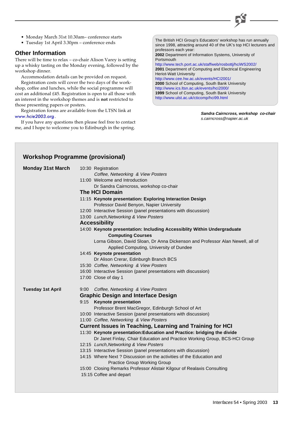

- Monday March 31st 10.30am– conference starts
- Tuesday 1st April 3.30pm conference ends

#### **Other Information**

There will be time to relax – co-chair Alison Varey is setting up a whisky tasting on the Monday evening, followed by the workshop dinner.

Accommodation details can be provided on request.

Registration costs will cover the two days of the workshop, coffee and lunches, while the social programme will cost an additional £45. Registration is open to all those with an interest in the workshop themes and is **not** restricted to those presenting papers or posters.

Registration forms are available from the LTSN link at [www.hcie2003.org](http://www.hcie2003.org/).

If you have any questions then please feel free to contact me, and I hope to welcome you to Edinburgh in the spring.

The British HCI Group's Educators' workshop has run annually since 1998, attracting around 40 of the UK's top HCI lecturers and professors each year: **2002** Department of Information Systems, University of **Portsmouth** 

<http://www.tech.port.ac.uk/staffweb/rosbottj/hciWS2002/> **2001** Department of Computing and Electrical Engineering Heriot-Watt University <http://www.cee.hw.ac.uk/events/HCI2001/> **2000** School of Computing, South Bank University <http://www.ics.ltsn.ac.uk/events/hci2000/> **1999** School of Computing, South Bank University <http://www.ulst.ac.uk/cticomp/hci99.html>

> **Sandra Cairncross, workshop co-chair** s.cairncross@napier.ac.uk

| <b>Workshop Programme (provisional)</b> |                                                                                                     |
|-----------------------------------------|-----------------------------------------------------------------------------------------------------|
| <b>Monday 31st March</b>                | 10:30 Registration                                                                                  |
|                                         | Coffee, Networking & View Posters                                                                   |
|                                         | 11:00 Welcome and Introduction                                                                      |
|                                         | Dr Sandra Cairncross, workshop co-chair                                                             |
|                                         | <b>The HCI Domain</b>                                                                               |
|                                         | 11:15 Keynote presentation: Exploring Interaction Design                                            |
|                                         | Professor David Benyon, Napier University                                                           |
|                                         | 12:00 Interactive Session (panel presentations with discussion)                                     |
|                                         | 13:00 Lunch, Networking & View Posters                                                              |
|                                         | <b>Accessibility</b>                                                                                |
|                                         | 14:00 Keynote presentation: Including Accessiblity Within Undergraduate                             |
|                                         | <b>Computing Courses</b>                                                                            |
|                                         | Lorna Gibson, David Sloan, Dr Anna Dickenson and Professor Alan Newell, all of                      |
|                                         | Applied Computing, University of Dundee                                                             |
|                                         | 14:45 Keynote presentation                                                                          |
|                                         | Dr Alison Crerar, Edinburgh Branch BCS                                                              |
|                                         | 15:30 Coffee, Networking & View Posters                                                             |
|                                         | 16:00 Interactive Session (panel presentations with discussion)                                     |
|                                         | 17:00 Close of day 1                                                                                |
| <b>Tuesday 1st April</b>                | 9:00 Coffee, Networking & View Posters                                                              |
|                                         | <b>Graphic Design and Interface Design</b>                                                          |
|                                         | <b>Keynote presentation</b><br>9:15                                                                 |
|                                         | Professor Brent MacGregor, Edinburgh School of Art                                                  |
|                                         | 10:00 Interactive Session (panel presentations with discussion)                                     |
|                                         | 11:00 Coffee, Networking & View Posters                                                             |
|                                         | <b>Current Issues in Teaching, Learning and Training for HCI</b>                                    |
|                                         | 11:30 Keynote presentation: Education and Practice: bridging the divide                             |
|                                         | Dr Janet Finlay, Chair Education and Practice Working Group, BCS-HCI Group                          |
|                                         | 12:15 Lunch, Networking & View Posters                                                              |
|                                         | 13:15 Interactive Session (panel presentations with discussion)                                     |
|                                         | 14:15 Where Next? Discussion on the activities of the Education and<br>Practice Group Working Group |
|                                         | 15:00 Closing Remarks Professor Alistair Kilgour of Realaxis Consulting                             |
|                                         | 15:15 Coffee and depart                                                                             |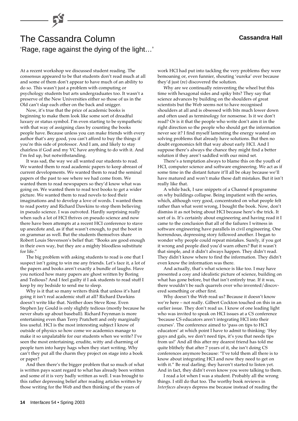# 'Rage, rage against the dying of the light…' The Cassandra Column **Cassandra Hall**

At a recent workshop we discussed student reading. The consensus appeared to be that students don't read much at all and some of them don't appear to have much of an ability to do so. This wasn't just a problem with computing or psychology students but arts undergraduates too. It wasn't a preserve of the New Universities either so those of us in the Old can't slap each other on the back and snigger.

Now, it's true that the price of academic books is beginning to make them look like some sort of dreadful luxury or status symbol. I'm even starting to be sympathetic with that way of assigning class by counting the books people have. Because unless you can make friends with every author that's any good, you can't afford to buy the things if you're this side of professor. And I am, and likely to stay chairless if God and my VC have anything to do with it. And I'm fed up, but notwithstanding.

It was sad, the way we all wanted our students to read. We wanted them to read academic papers to keep abreast of current developments. We wanted them to read the seminal papers of the past to see where we had come from. We wanted them to read newspapers so they'd know what was going on. We wanted them to read text books to get a wider picture. We wanted them to read novels to feed their imaginations and to develop a love of words. I wanted them to read poetry and Richard Dawkins to stop them believing in pseudo science. I was outvoted. Hardly surprising really when such a lot of HCI thrives on pseudo science and now there have been attempts at a recent HCI conference to stave up anecdote and, as if that wasn't enough, to put the boot in on grammar as well. But the students themselves share Robert Louis Stevenson's belief that: "Books are good enough in their own way, but they are a mighty bloodless substitute for life."

The big problem with asking students to read is one that I suspect isn't going to win me any friends. Let's face it, a lot of the papers and books aren't exactly a bundle of laughs. Have you noticed how many papers are ghost written by Boring and Tedious? And I feel guilty if I ask students to read stuff I keep by my bedside to send me to sleep.

Why is it that so many writers think that unless it's hard going it isn't real academic stuff at all? Richard Dawkins doesn't write like that. Neither does Steve Rose. Even Stephen Jay Gould is only slightly tedious (mostly because he never shuts up about baseball). Richard Feynman is more entertaining even than Terry Pratchett and only marginally less useful. HCI is the most interesting subject I know of outside of physics so how come we academics manage to make it so unpalatable for our students when we write? I've seen the most entertaining, erudite, witty and charming of people turn into harpy hags when they start writing. Why can't they put all the charm they project on stage into a book or paper?

And then there's the bigger problem that so much of what is written pays scant regard to what has already been written and some of it is very badly written as well. I was brought to this rather depressing belief after reading articles written by those writing for the Web and then thinking of the years of

work HCI had put into tackling the very problems they were bemoaning or, even funnier, shouting 'eureka' over because they'd just (re) discovered the solution.

Why are we continually reinventing the wheel but this time with hexagonal sides and spiky bits? They say that science advances by building on the shoulders of great scientists but the Web seems not to have recognised shoulders at all and is obsessed with bits much lower down and often used as terminology for nonsense. Is it we don't read? Or is it that the people who write don't aim it in the right direction so the people who should get the information never see it? I find myself lamenting the energy wasted on solving problems that already have solutions. But then no doubt ergonomics felt that way about early HCI. And I suppose there's always the chance they might find a better solution if they aren't saddled with our mind set.

There's a temptation always to blame this on the youth of HCI, computer science and software engineering. We act as if some time in the distant future it'll all be okay because we'll have matured and won't make these daft mistakes. But it isn't really like that.

A while back, I saw snippets of a Channel 4 programme on why buildings collapse. Being impatient with the series, which, although very good, concentrated on what people felt rather than what went wrong, I bought the book. Now, don't dismiss it as not being about HCI because here's the trick. It sort of is. It's certainly about engineering and having read it I came to the conclusion that all of the failures I witness in software engineering have parallels in civil engineering. One horrendous, depressing story followed another. I began to wonder why people could repeat mistakes. Surely, if you got it wrong and people died you'd warn others? But it wasn't that simple, and it didn't always happen. They didn't read. They didn't know where to find the information. They didn't even know the information was there.

And actually, that's what science is like too. I may have presented a cosy and idealistic picture of science, building on what has gone before, but that isn't entirely true. If it was, there wouldn't be such quarrels over who invented/discovered something or other first.

Why doesn't the Web read us? Because it doesn't know we're here – not really. Gilbert Cockton touched on this in an earlier issue. They don't read us. I know of one leading light who was invited to speak on HCI issues at a CS conference 'because CS educators aren't integrating HCI into their courses'. The conference aimed to 'pass on tips to HCI educators' at which point I have to admit to thinking: 'Hey guys and gals, we don't need tips, it's you that needs tips from us!' And all this after my dearest friend has told me quite blithely that after 7 years of it, she isn't doing CS conferences anymore because: "I've told them all there is to know about integrating HCI and now they need to get on with it." Be real darling; they haven't started to listen yet. And in fact, they didn't even know you were talking to them.

I read a lot when I was a student. Probably all the wrong things. I still do that too. The worthy book reviews in *Interfaces* always depress me because instead of reading the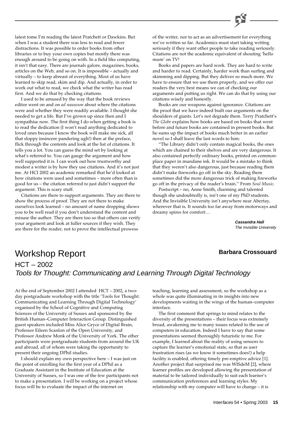

I used to be amused by the way that the book reviews editor went on and on *ad nauseum* about where the citations were and whether they were readily available. I thought she needed to get a life. But I've grown up since then and I sympathise now. The first thing I do when getting a book is to read the dedication (I won't read anything dedicated to loved ones because I know the book will make me sick, all that sloppy insincere pandering ugh!) then at the preface, flick through the contents and look at the list of citations. It tells you a lot. You can guess the mind set by looking at what's referred to. You can gauge the argument and how well supported it is. I can work out how trustworthy and modest a writer is by how they use citations. And it's not just me. At HCI 2002 an academic remarked that he'd looked at how citations were used and sometimes – more often than is good for us – the citation referred to just didn't support the argument. This is scary stuff.

Citations are there to support arguments. They are there to show the process of proof. They are not there to make ourselves look learned – no amount of name dropping shows you to be well read if you don't understand the content and misuse the author. They are there too so that others can verify your argument and look at fuller sources if they wish. They are there for the reader, not to prove the intellectual prowess

of the writer, nor to act as an advertisement for everything we've written so far. Academics must start taking writing seriously if they want other people to take reading seriously. Citations are not the academic equivalent of shouting 'hello mum' on TV!

Books and papers are hard work. They are hard to write and harder to read. Certainly, harder work than surfing and skimming and dipping. But they deliver so much more. We have to ensure that we use them properly, and we offer our readers the very best means we can of checking our arguments and putting us right. We can do that by using our citations wisely and honestly.

Books are our weapons against ignorance. Citations are the proof that we have indeed built our arguments on the shoulders of giants. Let's not degrade them. Terry Pratchett's *The Globe* explains how books are based on books that went before and future books are contained in present books. But he sums up the impact of books much better in an earlier novel so I shall leave the last words to him:

"The Library didn't only contain magical books, the ones which are chained to their shelves and are very dangerous. It also contained perfectly ordinary books, printed on commonplace paper in mundane ink. It would be a mistake to think that they weren't also dangerous, just because reading them didn't make fireworks go off in the sky. Reading them sometimes did the more dangerous trick of making fireworks go off in the privacy of the reader's brain." From *Soul Music*.

Postscript – no, Anne Smith, charming and talented though she undoubtedly is, isn't one of my PhD students. And the Invisible University isn't anywhere near Abertay, wherever that is. It sounds too far away from motorways and dreamy spires for comfort…

> **Cassandra Hall** The Invisible University

### **Barbara Crossouard**

# Workshop Report HCT – 2002 Tools for Thought: Communicating and Learning Through Digital Technology

At the end of September 2002 I attended HCT – 2002, a twoday postgraduate workshop with the title 'Tools for Thought: Communicating and Learning Through Digital Technology' organised by the School of Cognitive and Computing Sciences of the University of Sussex and sponsored by the British Human–Computer Interaction Group. Distinguished guest speakers included Miss Alice Gryce of Digital Brain, Professor Eileen Scanlon of the Open University, and Professor Andrew Monk of the University of York. The other participants were postgraduate students from around the UK and abroad, all of whom were taking the opportunity to present their ongoing DPhil studies.

I should explain my own perspective here – I was just on the point of enrolling for the first year of a DPhil as a Graduate Assistant in the Institute of Education at the University of Sussex, so I was one of the few participants not to make a presentation. I will be working on a project whose focus will be to evaluate the impact of the internet on

teaching, learning and assessment, so the workshop as a whole was quite illuminating in its insights into new developments waiting in the wings of the human–computer interface.

The first comment that springs to mind relates to the diversity of the presentations – their focus was extremely broad, awakening me to many issues related to the use of computers in education. Indeed I have to say that some presentations seemed thoroughly futuristic to me. For example, I learned about the reality of using sensors to capture the learner's emotional state, so that as user frustration rises (as we know it sometimes does!) a help facility is enabled, offering timely pre-emptive advice [1]. Another project that surprised me was WISdeM [2], where learner profiles are developed allowing the presentation of material to be tailored individually to suit each learner's communication preferences and learning styles. My relationship with my computer will have to change – it is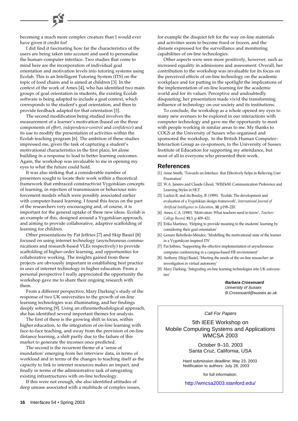becoming a much more complex creature than I would ever have given it credit for!

I did find it fascinating how far the characteristics of the users are being taken into account and used to personalise the human–computer interface. Two studies that come to mind here are the incorporation of individual goal orientation and motivation levels into tutoring systems using Ecolab. This is an Intelligent Tutoring System (ITS) on the topic of food chains and is aimed at children [3]. In the context of the work of Ames [4], who has identified two main groups of goal orientation in students, the existing Ecolab software is being adapted to include a goal context, which corresponds to the student's goal orientation, and then to provide feedback adapted for that orientation [5].

The second modification being studied involves the measurement of a learner's motivation (based on the three components of *effort*, *independence-control* and *confidence*) and its use to modify the presentation of activities within the Ecolab teaching program [6]. The ambition of these studies impressed me, given the task of capturing a student's motivational characteristics in the first place, let alone building in a response to lead to better learning outcomes. Again, the workshop was invaluable to me in opening my eyes to what the future could hold.

It was also striking that a considerable number of presenters sought to locate their work within a theoretical framework that embraced constructivist Vygotskian concepts of learning, in rejection of transmission or behaviour reinforcement models which were possibly associated earlier with computer-based learning. I found this focus on the part of the researchers very encouraging and, of course, it is important for the general uptake of these new ideas. Ecolab is an example of this, designed around a Vygotskian approach, and aiming to provide collaborative, adaptive scaffolding of learning for children.

Other presentations by Pat Jeffries [7] and Skip Basiel [8] focused on using internet technology (asynchronous communications and research-based VLEs respectively) to provide scaffolding of higher-order learning, and opportunities for collaborative working. The insights gained from these projects are obviously important in establishing best practice in uses of internet technology in higher education. From a personal perspective I really appreciated the opportunity the workshop gave me to share their ongoing research with them.

From a different perspective, Mary Darking's study of the response of two UK universities to the growth of on-line learning technologies was illuminating, and her findings deeply sobering [9]. Using an ethnomethodological approach, she has identified several important themes for analysis.

The first of these is the growing shift in focus, within higher education, to the integration of on-line learning with face-to-face teaching, and away from the provision of on-line distance learning, a shift partly due to the failure of this market to generate the incomes once predicted.

The second is the recurrent theme of a 'sense of inundation' emerging from her interview data, in terms of workload and in terms of the changes to teaching itself as the capacity to link to internet resources makes an impact, and finally in terms of the administrative task of integrating existing infrastructures with on-line technology.

If this were not enough, she also identified attitudes of deep unease associated with a multitude of complex issues, for example the disquiet felt for the way on-line materials and activities seem to become fixed or frozen, and the distaste expressed for the surveillance and monitoring capabilities of on-line technologies.

Other aspects were seen more positively, however, such as increased equality in admissions and assessment. Overall, her contribution to the workshop was invaluable for its focus on the perceived effects of on-line technology on the academic workplace and for putting in the spotlight the implications of the implementation of on-line learning for the academic world and for its values. Perceptive and undoubtedly disquieting, her presentation made vivid the transforming influence of technology on our society and its institutions.

To conclude, the workshop as a whole opened my eyes to many new avenues to be explored in our interactions with computer technology and gave me the opportunity to meet with people working in similar areas to me. My thanks to COGS at the University of Sussex who organised and sponsored the workshop, to the British Human Computer– Interaction Group as co-sponsors, to the University of Sussex Institute of Education for supporting my attendance, but most of all to everyone who presented their work.

#### **References**

- [1] Anne Smith, 'Towards an Interface that Effectively helps in Relieving User Frustration'
- [2] W.A. Janeiro and Claude Ghoul, 'WISDeM: Communication Preference and Learning Styles in HCI'
- [3] Luckin R. and du Boulay, B. (1999). 'Ecolab: The development and evaluation of a Vygotskian design framework', *International Journal of Artificial Intelligence in Education*, **10**, p198–220.
- [4] Ames, C.A. (1990). 'Motivation: What teachers need to know', *Teachers College Record*, **91**:3, p 409–421.
- [5] Erika Martinez, 'Helping to provide meaning to the students' learning by considering their goal orientation'
- [6] Genaro Rebolledo-Méndez, 'Modelling the motivational state of the learner in a Vygotskyan inspired ITS'
- [7] Pat Jeffries, 'Supporting the effective implementation of asynchronous computer conferencing in a campus-based HE environment'
- [8] Anthony (Skip) Basiel, 'Meeting the needs of the on-line researcher: an investigation in virtual autonomy'
- [9] Mary Darking, 'Integrating on-line learning technologies into UK universities'

**Barbara Crossouard** University of Sussex B.Crossouard@sussex.ac.uk

#### Call For Papers

5th IEEE Workshop on Mobile Computing Systems and Applications WMCSA 2003

> October 9–10, 2003 Santa Cruz, California, USA

Hard submission deadline: May 23, 2003 Notification to authors: July 28, 2003

for full information:

<http://wmcsa2003.stanford.edu/>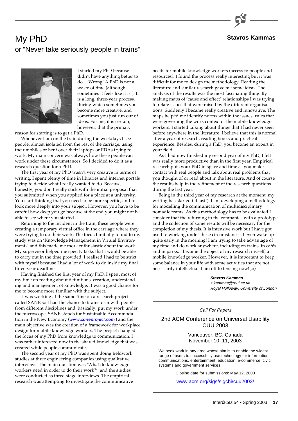

#### **Stavros Kammas**

# My PhD or "Never take seriously people in trains"



I started my PhD because I didn't have anything better to do… Wrong! A PhD is not a waste of time (although sometimes it feels like it is!). It is a long, three-year process, during which sometimes you become more creative, and sometimes you just run out of ideas. For me, it is certain, however, that the primary

reason for starting is to get a PhD.

Whenever I am on the train during the weekdays I see people, almost isolated from the rest of the carriage, using their mobiles or bent over their laptops or PDAs trying to work. My main concern was always how these people can work under these circumstances. So I decided to do it as a research question for a PhD.

The first year of my PhD wasn't very creative in terms of writing. I spent plenty of time in libraries and internet portals trying to decide what I really wanted to do. Because, honestly, you don't really stick with the initial proposal that you submitted when you applied for a place at a university. You start thinking that you need to be more specific, and to look more deeply into your subject. However, you have to be careful how deep you go because at the end you might not be able to see where you started.

Returning to the incident in the train, these people were creating a temporary virtual office in the carriage where they were trying to do their work. The focus I initially found to my study was on 'Knowledge Management in Virtual Environments' and this made me more enthusiastic about the work. My supervisor helped me specify tasks that I would be able to carry out in the time provided. I realised I had to be strict with myself because I had a lot of work to do inside my final three-year deadline.

Having finished the first year of my PhD, I spent most of my time on reading about definitions, creation, understanding and management of knowledge. It was a good chance for me to become more familiar with the subject.

 I was working at the same time on a research project called SANE so I had the chance to brainstorm with people from different disciplines and, basically, put my work under the microscope. SANE stands for Sustainable Accommodation in the New Economy ([www.saneproject.com](http://www.saneproject.com/)) and the main objective was the creation of a framework for workplace design for mobile knowledge workers. The project changed the focus of my PhD from knowledge to communication. I was rather interested now in the shared knowledge that was created while people communicate.

The second year of my PhD was spent doing fieldwork studies at three engineering companies using qualitative interviews. The main question was 'What do knowledge workers need in order to do their work?', and the studies were conducted as three-stage interviews. The empirical research was attempting to investigate the communicative needs for mobile knowledge workers (access to people and resources). I found the process really interesting but it was difficult for me to design the methodology. Reading the literature and similar research gave me some ideas. The analysis of the results was the most fascinating thing. By making maps of 'cause and effect' relationships I was trying to relate issues that were raised by the different organisations. Suddenly I became really creative and innovative. The maps helped me identify norms within the issues, rules that were governing the work context of the mobile knowledge workers. I started talking about things that I had never seen before anywhere in the literature. I believe that this is normal after a year of research, reading books and practical experience. Besides, during a PhD, you become an expert in your field.

As I had now finished my second year of my PhD, I felt I was really more productive than in the first year. Empirical research puts your PhD in space and time as you make contact with real people and talk about real problems that you thought of or read about in the literature. And of course the results help in the refinement of the research questions during the last year.

Being in the third year of my research at the moment, my writing has started (at last!). I am developing a methodology for modelling the communication of multidisciplinary nomadic teams. As this methodology has to be evaluated I consider that the returning to the companies with a prototype and the collection of some results will be necessary for the completion of my thesis. It is intensive work but I have got used to working under these circumstances. I even wake up quite early in the morning! I am trying to take advantage of my time and do work anywhere, including on trains, in cafés and in parks. I became the object of my research myself, a mobile knowledge worker. However, it is important to keep some balance in your life with some activities that are not necessarily intellectual. I am off to fencing now! ;o)

> **Stavros Kammas** s.kammas@rhul.ac.uk Royal Holloway, University of London

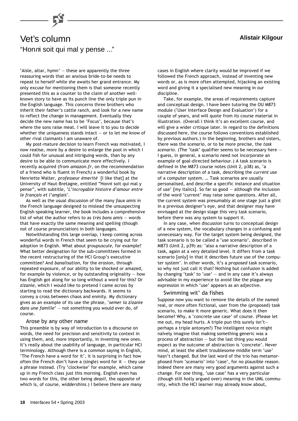

# Vet's column **Alistair Kilgour** "Honni soit qui mal y pense ..."

'Aisle, altar, hymn' — these are apparently the three reassuring words that an anxious bride-to-be needs to repeat to herself while she awaits her grand entrance. My only excuse for mentioning them is that someone recently presented this as a counter to the claim of another wellknown story to have as its punch line the only triple pun in the English language. This concerns three brothers who inherit their father's cattle ranch, and look for a new name to reflect the change in management. Eventually they decide the new name has to be 'Focus', because that's where the sons raise meat. I will leave it to you to decide whether the uniqueness stands intact  $-$  or to let me know of other rival claimants I am unaware of.

My post-mature decision to learn French was motivated, I now realise, more by a desire to enlarge the pool in which I could fish for unusual and intriguing words, than by any desire to be able to communicate more effectively. I recently acquired (from *amazon.fr*, on the recommendation of a friend who is fluent in French) a wonderful book by Henriette Walter, *professeur émerité* [I like that] at the University of Haut-Bretagne, entitled "Hon*n*i soit qui mal y pense", with subtitle, '*L'incroyable histoire d'amour entre le français et l'anglais*'.

As well as the usual discussion of the many *faux amis* in the French language designed to mislead the unsuspecting English-speaking learner, the book includes a comprehensive list of what the author refers to as *très bons amis* — words that have exactly the same meaning and spelling (though not of course pronunciation) in both languages.

Notwithstanding this large overlap, I keep coming across wonderful words in French that seem to be crying out for adoption in English. What about *groupuscule*, for example? What better designation for the sub-committees formed in the recent restructuring of the HCI Group's executive committee? And *banalisation*, for the erosion, through repeated exposure, of our ability to be shocked or amazed, for example by violence, or by outstanding originality  $-$  how has English got along for so long without a word for this? Or *zizanie*, which I would like to pretend I came across by starting to read the dictionary backwards. It seems to convey a cross between chaos and enmity. My dictionary gives as an example of its use the phrase, '*semer la zizanie dans une famille*' — not something you would ever do, of course.

#### Arose by any other name

This preamble is by way of introduction to a discourse on words, the need for precision and sensitivity to context in using them, and, more importantly, in inventing new ones. It's really about the usability of language, in particular HCI terminology. Although there is a common saying in English, 'The French have a word for it', it is surprising in fact how often the French don't have a (single) word for it  $-$  they use a phrase instead. (Try 'clockwise' for example, which came up in my French class just this morning. English even has two words for this, the other being *deasil*, the opposite of which is, of course, *widdershins*.) I believe there are many

cases in English where clarity would be improved if we followed the French approach, instead of inventing new words or, as is more often attempted, hijacking an existing word and giving it a specialised new meaning in our discipline.

Take, for example, the areas of requirements capture and conceptual design. I have been tutoring the OU M873 module ('User Interface Design and Evaluation') for a couple of years, and will quote from its course material in illustration. (Overall I think it's an excellent course, and will give a wider critique later. In regard to the definitions discussed here, the course follows conventions established by previous authors.) In the beginning, brothers and sisters, there was the *scenario*, or to be more precise, the *task scenario*. (The 'task' qualifier seems to be necessary here — I guess, in general, a scenario need not incorporate an example of goal-directed behaviour.) A task scenario is defined in the M873 course notes (Unit 2, p38) as, 'a narrative description of a task, describing the *current* use of a computer system. … Task scenarios are usually personalised, and describe a specific instance and situation of use' [my italics]. So far so good — although the inclusion of the word 'current' may raise some questions. After all, the current system was presumably at one stage just a glint in a previous designer's eye, and that designer may have envisaged at the design stage this very task scenario, before there was any system to support it.

In any case, when discussion turns to conceptual design of a new system, the vocabulary changes in a confusing and unnecessary way. For the target system being designed, the task scenario is to be called a 'use scenario', described in M873 (Unit 2, p39) as: 'also a narrative description of a task, again at a very detailed level. It differs from a task scenario [only] in that it describes future use of the computer system'. In other words, it's a *proposed* task scenario, so why not just call it that? Nothing but confusion is added by changing 'task' to 'use'  $-$  and in any case it's always advisable in my experience to avoid like the plague any expression in which 'use' appears as an adjective.

#### Swimming wit' da fishes

Suppose now you want to remove the details of the named real, or more often fictional, user from the (proposed) task scenario, to make it more generic. What does it then become? Why, a 'concrete use case' of course. (Please let me out, my head hurts. A triple pun this surely isn't perhaps a triple antonym?) The intelligent novice might naïvely imagine that making something generic was a process of abstraction — but the last thing you would expect as the outcome of abstraction is 'concrete'. Never mind, at least the albeit troublesome middle term 'use' hasn't changed. But the last word of the trio has metamorphosed from 'scenario' into 'case', for no plausible reason. Indeed there are many very good arguments against such a change. For one thing, 'use case' has a very particular (though still hotly argued over) meaning in the UML community, which the HCI learner may already know about,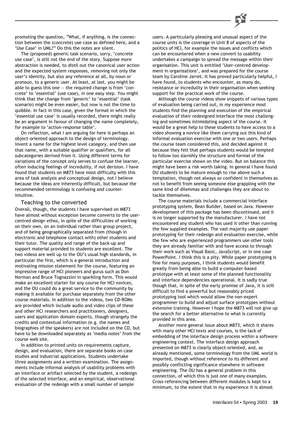promoting the question, "What, if anything, is the connection between the (concrete) use case as defined here, and a 'Use Case' in UML?" On this the notes are silent.

The (proposed) generic task scenario, sorry, 'concrete use case', is still not the end of the story. Suppose more abstraction is needed, to distil out the canonical user action and the expected system responses, removing not only the user's identity, but also any reference at all, by noun or pronoun, to a generic user. At least, at last, you might be able to guess this one  $-$  the required change is from 'concrete' to 'essential' (use case), in one easy step. You might think that the change from 'generic' to 'essential' (task scenario) might be even easier, but now is not the time to quibble. In fact in this case, given the format in which the 'essential use case' is usually recorded, there might really be an argument in favour of changing the name completely, for example to 'action-response table'.

On reflection, what I am arguing for here is perhaps an object-oriented approach to the design of terminology. Invent a name for the highest level category, and then use that name, with a suitable qualifier or qualifiers, for all subcategories derived from it. Using different terms for variations of the concept only serves to confuse the learner, often inducing feelings of incredulity, if not derision. I have found that students on M873 have most difficulty with this area of task analysis and conceptual design, not I believe because the ideas are inherently difficult, but because the recommended terminology is confusing and counterintuitive.

#### Teaching to the converted

Overall, though, the students I have supervised on M873 have almost without exception become converts to the usercentred design ethos, in spite of the difficulties of working on their own, on an individual rather than group project, and of being geographically separated from (though in electronic and telephone contact with) other students and their tutor. The quality and range of the back-up and support material provided to students are excellent. The two videos are well up to the OU's usual high standards, in particular the first, which is a general introduction and motivating mission statement for the course, featuring an impressive range of HCI pioneers and gurus such as Don Norman and Bruce Tognazzini in sparkling form. This would make an excellent starter for any course for HCI novices, and the OU could do a great service to the community by making it available for purchase separately from the other course materials. In addition to the videos, two CD-ROMs are provided which include audio and video clips of these and other HCI researchers and practitioners, designers, users and application domain experts, though strangely the credits and contextual information (e.g. the names and biographies of the speakers) are not included on the CD, but have to be downloaded separately as 'media notes' from the course web site.

In addition to printed units on requirements capture, design, and evaluation, there are separate books on case studies and industrial applications. Students undertake three assignments and a written examination. The assignments include informal analysis of usability problems with an interface or artifact selected by the student, a redesign of the selected interface, and an empirical, observational evaluation of the redesign with a small number of sample

users. A particularly pleasing and unusual aspect of the course units is the coverage in Unit 8 of aspects of the politics of HCI, for example the issues and conflicts which can be encountered when a new convert to usability undertakes a campaign to spread the message within their organisation. This unit is entitled 'User-centred development in organisations', and was prepared for the course team by Caroline Jarret. It has proved particularly helpful, I have found, to students who encounter, as many do, resistance or incredulity in their organisation when seeking support for the practical work of the course.

Although the course videos show snippets of various types of evaluation being carried out, in my experience most students find the planning and execution of the empirical evaluation of their redesigned interface the most challenging and sometimes intimidating aspect of the course. It would be a great help to these students to have access to a video showing a novice like them carrying out this kind of informal evaluation exercise with one or two users. Perhaps the course team considered this, and decided against it because they felt that perhaps students would be tempted to follow too slavishly the structure and format of the particular exercise shown on the video. But on balance this might have been a risk worth taking. In general I have found OU students to be mature enough to rise above such a temptation, though not always so confident in themselves as not to benefit from seeing someone else grappling with the same kind of dilemmas and challenges they are about to tackle themselves.

The course materials include a commercial interface prototyping system, Bean Builder, based on Java. However development of this package has been discontinued, and it is no longer supported by the manufacturer. I have not encountered any student who has used it other than running the few supplied examples. The vast majority use paper prototyping for their redesign and evaluation exercise, while the few who are experienced programmers use other tools they are already familiar with and have access to through their work such as Visual Basic, JavaScript, or in one case PowerPoint. I think this is a pity. While paper prototyping is fine for many purposes, I think students would benefit greatly from being able to build a computer-based prototype with at least some of the planned functionality and interface dependencies operational. It is sadly true though that, in spite of the early promise of Java, it is still difficult to find a powerful but reasonably priced prototyping tool which would allow the non-expert programmer to build and adjust surface prototypes without extensive training. However I hope the M873 will not give up the search for a better alternative to what is currently provided in this area.

Another more general issue about M873, which it shares with many other HCI texts and courses, is the lack of embedding of the interface design process within a software engineering context. The interface design approach presented on M873 is clearly object-oriented, and, as already mentioned, some terminology from the UML world is imported, though without reference to its different and possibly conflicting significance elsewhere in software engineering. The OU has a general problem in this connection, of which this is just one of many examples. Cross-referencing between different modules is kept to a minimum, to the extent that in my experience it is almost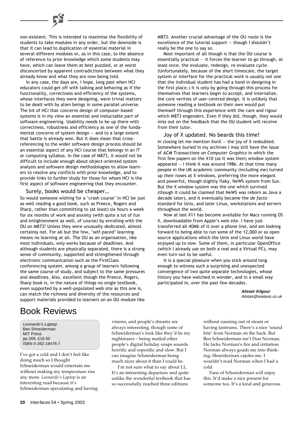non-existent. This is intended to maximise the flexibility of students to take modules in any order, but the downside is that it can lead to duplication of essential material in several different modules or, as in this case, to the absence of reference to prior knowledge which some students may have, which can leave them at best puzzled, or at worst disconcerted by apparent contradictions between what they already know and what they are now being told.

In any case, the days are, I hope, long past when HCI educators could get off with talking and behaving as if the functionality, correctness and efficiency of the systems, whose interfaces they were designing, were trivial matters to be dealt with by alien beings in some parallel universe. The bit of HCI that concerns design of computer-based systems is in my view an essential and ineluctable part of software engineering. Usability needs to be up there with correctness, robustness and efficiency as one of the fundamental concerns of system design — and to a large extent that battle is already won. But it does mean that crossreferencing to the wider software design process should be an essential aspect of any HCI course that belongs in an IT or computing syllabus. In the case of M873, it would not be difficult to include enough about object-oriented system analysis and software design methodologies to allow learners to resolve any conflicts with prior knowledge, and to provide links to further study for those for whom HCI is the first aspect of software engineering that they encounter.

#### Surely, books would be cheaper…

So would someone wishing for a 'crash course' in HCI be just as well reading a good book, such as Preece, Rogers and Sharp, rather than committing to (at least) six hours a week for six months of work and anxiety (with quite a lot of fun and enlightenment as well, of course) by enrolling with the OU on M873? Unless they were unusually dedicated, almost certainly not. For all but the few, 'self-paced' learning means no learning at all. The OU as an organisation, like most individuals, only works because of deadlines. And although students are physically separated, there is a strong sense of community, supported and strengthened through electronic communication such as the FirstClass conferencing system, among a group of learners following the same course of study, and subject to the same pressures and deadlines. Also, excellent though the Preece, Rogers, Sharp book is, in the nature of things no single textbook, even supported by a well-populated web site as this one is, can match the richness and diversity of the resources and support materials provided to learners on an OU module like

M873. Another crucial advantage of the OU route is the excellence of the tutorial support — though I shouldn't really be the one to say so.

Most important of all though is that the OU course is essentially practical  $-$  it forces the learner to go through, at least once, the evaluate, redesign, re-evaluate cycle. (Unfortunately, because of the short timescale, the target system or interface for the practical work is usually not one that the individual student has had a hand in designing in the first place.) It is only by going through this process for themselves that learners begin to accept, and internalize, the core verities of user-centred design. It is unlikely that someone reading a textbook on their own would put themself through this experience with the care and rigour which M873 engenders. Even if they did, though, they would miss out on the feedback that the OU student will receive from their tutor.

Joy of X updated. No beards this time! In closing let me mention  $XonX -$  the joy of X redoubled. Somewhere buried in my archives I may still have the issue of *ACM Transactions on Computer Graphics* in which the first few papers on the X10 (as it was then) window system appeared — I think it was around 1986. At that time many people in the UK academic community (including me) turned up their noses at X windows, preferring the more elegant and powerful, though slightly flaky, NeWS system from Sun. But the X window system was the one which survived (though it could be claimed that NeWS was reborn as Java a decade later), and it eventually became the *de facto* standard for Unix, and later Linux, workstations and servers throughout the world.

Now at last X11 has become available for Macs running OS X, downloadable from Apple's web site. I have just transferred all 40Mb of it over a phone line, and am looking forward to being able to run some of the 12,000 or so open source applications which the Unix and Linux world have enjoyed up to now. Some of them, in particular OpenOffice (which I already use on both a real and a Virtual PC), may even turn out to be useful.

It is a special pleasure when you stick around long enough to witness such a surprising and unexpected convergence of two quite separate technologies, whose history you have watched in wonder, and in a small way participated in, over the past few decades.

> **Alistair Kilgour** Alistair@realaxis.co.uk

# Book Reviews

Leonardo's Laptop Ben Shneiderman MIT Press pp 269, £16.50 ISBN 0-262-19476-7

I've got a cold and I don't feel like doing much so I thought Schneiderman would entertain me without making my temperature rise any more. *Leonardo's Laptop* is an interesting read because it's Schneiderman speculating and having visions, and people's dreams are always interesting, though some of Schneiderman's look like they'd be my nightmares – being mailed other people's digital holiday snaps sounds horrific and soporific and slow. But I can imagine Schneiderman being much nicer about it than I could be.

I'm not sure what to say about LL. It's an interesting departure and quite unlike the wonderful textbook that has so successfully reached three editions

without running out of steam or having tantrums. There's a nice 'sound bite' from Norman on the back. But Ben Schneiderman isn't Don Norman. He lacks Norman's fire and irritation. Norman always goads me into thinking; Shneiderman cajoles me. I wouldn't read Norman when I had a cold.

Fans of Schneiderman will enjoy this. It'd make a nice present for someone too. It's a kind and generous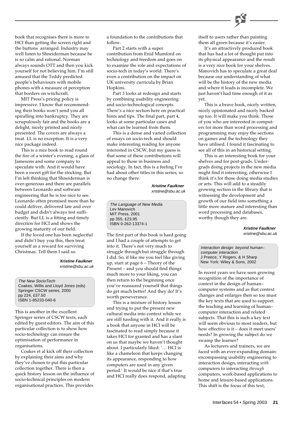

book that recognises there is more to HCI than getting the screen right and the buttons arranged. Industry may well listen to Shneiderman because he is so calm and rational. Norman always sounds OTT and then you kick yourself for not believing him. I'm still amused that the Teddy predicted people's behaviours with mobile phones with a measure of perception that borders on witchcraft.

MIT Press's pricing policy is impressive. I know that recommending their books won't send you all spiralling into bankruptcy. They are scrupulously fair and the books are a delight, nicely printed and nicely presented. The covers are always a treat. LL is no exception. It is a very nice package indeed.

This is a nice book to read round the fire of a winter's evening, a glass of Jamesons and some company to speculate with. And it would have been a sweet gift for the stocking. But I'm left thinking that Shneiderman is over-generous and there are parallels between Leonardo and software engineering that he is too nice to see. Leonardo often promised more than he could deliver, delivered late and over budget and didn't always test sufficiently. But LL is a fitting and timely direction for HCI and shows the growing maturity of our field.

If the loved one has been neglectful and didn't buy you this, then treat yourself as a reward for surviving Christmas. Tell them I said so.

> **Xristine Faulkner** xristine@sbu.ac.uk

The New SocioTech Coakes, Willis and Lloyd Jones (eds) Springer CSCW series, 2000 pp 224, £37.50 ISBN 1-85233-040-6

This is another in the excellent Springer series of CSCW texts, each edited by guest editors. The aim of this particular collection is to show how socio-technology can ensure the optimisation of performance in organisations.

Coakes et al kick off their collection by explaining their aims and why they've chosen to put this particular collection together. There is then a quick history lesson on the influence of socio-technical principles on modern organisational practices. This provides

a foundation to the contributions that follow.

Part 2 starts with a super contribution from Enid Mumford on technology and freedom and goes on to examine the role and expectations of socio-tech in today's world. There's even a contribution on the impact on UK university curricula by Brian Hopkins.

Part 3 looks at redesign and starts by combining usability engineering and socio-technological concepts. There's a nice section here on practical hints and tips. The final part, part 4, looks at some particular cases and what can be learned from them.

This is a dense and varied collection of essays on socio-tech and should make interesting reading for anyone interested in CSCW, but my guess is that some of these contributions will appeal to those in business and sociology. In fact, this is a feeling I've had about other titles in this series, so no change there.

> **Xristine Faulkner** xristine@sbu.ac.uk

The Language of New Media Lev Manovich MIT Press, 2001 pp 355, £23.95 ISBN 0-262-13374-1

The first part of this book is hard going and I had a couple of attempts to get into it. There's not very much to struggle through but struggle through I did. So, if like me you feel like giving up, start at page 6 – Theory of the Present – and you should find things much more to your liking, you can then return to the beginning once you've reassured yourself that things do get much better! And they do! It's worth perseverance.

This is a mixture of history lesson and trying to put the present new cultural media into context while we are still tussling with it. And it really is a book that anyone in HCI will be fascinated to read simply because it takes HCI for granted and has a slant on us that maybe we haven't thought about. I particularly liked: '… HCI is like a chameleon that keeps changing its appearance, responding to how computers are used in any given period.' It would be nice if that's true and HCI really does respond, adapting

itself to users rather than painting them all green because it's easier.

It's an attractively produced book that has had a lot of thought put into its physical appearance and the result is a very nice book for your shelves. Manovich has to speculate a great deal because our understanding of what will be the history of the new media and where it leads is incomplete. We just haven't had time enough of it as yet.

This is a brave book, nicely written, nicely opinionated and nicely backed up too. It will make you think. Those of you who are interested in computers for more than word processing and programming may enjoy the sections on games and the technology they have utilised. I found it fascinating to see all of this in an historical setting.

This is an interesting book for your shelves and for post-grads. Undergrads doing projects in the new media might find it interesting, otherwise I think it's for those doing media studies or arts. This will add to a steadily growing section in the library that is witnessing the development and growth of our field into something a little more mature and interesting than word processing and databases, worthy though they are.

> **Xristine Faulkner** xristine@sbu.ac.uk

Interaction design: beyond human– computer interaction J Preece, Y Rogers, & H Sharp New York: Wiley & Sons, 2002

In recent years we have seen growing recognition of the importance of context in the design of human– computer systems and as that context changes and enlarges then so too must the key texts that are used to support the teaching and learning of human– computer interaction and related subjects. That this is such a key text will seem obvious to most readers, but how effective is it – does it meet users' needs? In growing the subject do we swamp the learner?

As lecturers and trainers, we are faced with an ever-expanding domain: encompassing usability engineering to interaction design, interacting *with* computers to interacting *through* computers, work-based applications to home and leisure-based applications. This shift is the focus of this text,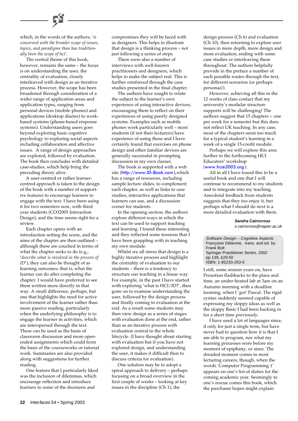which, in the words of the authors, '*is concerned with the broader scope of issues, topics, and paradigms than has traditionally been the scope of hci*'.

The central theme of this book, however, remains the same – the focus is on understanding the user, the centrality of evaluation, closely interleaved with design as an iterative process. However, the scope has been broadened through consideration of a wider range of application areas and application types, ranging from personal devices (mobile phones) and applications (desktop diaries) to workbased systems (phone-based response systems). Understanding users goes beyond exploring basic cognitive psychology to exploring social aspects including collaboration and affective issues. A range of design approaches are explored, followed by evaluation. The book then concludes with detailed case-studies, which help bring the preceding theory alive.

A user-centred or rather learnercentred approach is taken to the design of the book with a number of supportive features to encourage learners to engage with the text. I have been using it for two semesters now, with third year students (CO32005 Interaction Design), and the time seems right for a review.

Each chapter opens with an introduction setting the scene, and the aims of the chapter are then outlined – although these are couched in terms of what the chapter seeks to do (e.g., '*describe what is involved in the process of ID*'), they can also be thought of as learning outcomes; that is, what the learner can do after completing the chapter. I would have preferred to see them written more directly in that way. A small difference, perhaps, but one that highlights the need for active involvement of the learner rather than more passive reading, particularly when the underlying philosophy is to engage the learner in activities, which are interspersed through the text. These can be used as the basis of classroom discussion and more openended assignments which could form the basis of the courseworks or tutorial work. Summaries are also provided along with suggestions for further reading.

One feature that I particularly liked was the inclusion of dilemmas, which encourage reflection and introduce learners to some of the decisions and

compromises they will be faced with as designers. This helps to illustrate that design is a thinking process – not just following a series of steps.

There were also a number of interviews with well-known practitioners and designers, which helps to make the subject real. This is further reinforced through the case studies presented in the final chapter.

The authors have sought to relate the subject to the learner's own experience of using interactive devices, encouraging them to reflect on their experiences of using poorly designed systems. Examples such as mobile phones work particularly well – most students (if not their lecturers) have experience of using these and I have certainly found that exercises on phone design and other familiar devices are generally successful in prompting discussion in my own classes.

The book is supported with a web site ([http://www.ID-Book.com](http://www.ID-Book.com/)),which has a range of resources, including sample lecture slides, to complement each chapter, as well as links to case studies, interactive applications that learners can use, and a discussion corner for students.

In the opening section, the authors explore different ways in which the text can be used to support teaching and learning. I found these interesting and they reflected some tensions that I have been grappling with in teaching my own module.

Whilst we all stress that design is a highly iterative process and highlight the centrality of evaluation to our students – there is a tendency to structure our teaching in a linear way. For example, in the past I have started with exploring 'what is HCI/ID?', then gone on to examine understanding the user, followed by the design process and finally coming to evaluation at the end. As a result some students may then view design as a series of stages with evaluation done at the end, rather than as an iterative process with evaluation central to the whole lifecycle. (I have thought about starting with evaluation but if you have not explored design, and understanding the user, it makes it difficult then to discuss criteria for evaluation).

One solution may be to adopt a spiral approach to delivery – perhaps focusing on a broad overview in the first couple of weeks – looking at key issues in the discipline (Ch 1), the

design process (Ch 6) and evaluation (Ch 10), then returning to explore user issues in more depth, more design and more evaluation, ending with some case studies or interleaving these throughout. The authors helpfully provide in the preface a number of such possible routes through the text, for different scenarios (or perhaps personas!).

However, achieving all this in the 12 weeks of class contact that my university's modular structure supports will be challenging! The authors suggest that 15 chapters = one per week for a semester but this does not reflect UK teaching. In any case, most of the chapters seem too much for a typical student's learning in a week of a single 15-credit module.

Perhaps we will explore this area further in the forthcoming HCI Educators' workshop ([www.hcie2003.org](http://www.hcie2003.org/)).

All in all I have found this to be a useful book and one that I will continue to recommend to my students and to integrate into my teaching. Anecdotal feedback from students suggests that they too enjoy it, but perhaps what I should do next is a more detailed evaluation with them.

> **Sandra Cairncross** s.cairncross@napier.ac.uk

Software Design – Cognitive Aspects Françoise Détienne, trans. and ed. by Frank Bolt Springer Practitioner Series, 2002 pp 139, £29.50 ISBN: 1-85233-253-0

I still, some sixteen years on, have Proustian flashbacks to the place and time, an under-heated lab at 3am on an Autumn morning with a deadline looming, when I 'got' Pascal. The rigid syntax suddenly seemed capable of expressing my sloppy ideas as well as the sloppy Basic I had been hacking in for a short time previously.

I have used a lot of languages since, if only for just a single term, but have never had to question how it is that I am able to program, nor what my learning processes were before my moment of epiphany, or since. The dreaded moment comes in most lecturing careers, though, when the words 'Computer Programming 1' appears on one's list of duties for the coming academic year. Seemingly to one's rescue comes this book, which the purchaser hopes might explain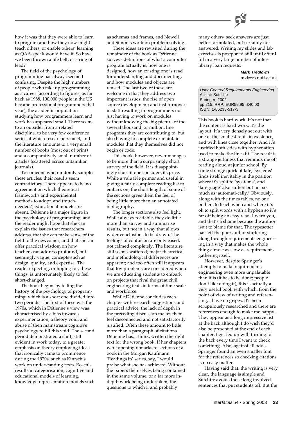

how it was that they were able to learn to program and how they now might teach others, or enable others' learning as QAA-speak would have it. So have we been thrown a life belt, or a ring of lead?

The field of the psychology of programming has always seemed confusing. Despite the high numbers of people who take up programming as a career (according to figures, as far back as 1988, 100,000 people in the US became professional programmers that year), the academic population studying how programmers learn and work has appeared small. There seem, to an outsider from a related discipline, to be very few conference series at which researchers meet, and the literature amounts to a very small number of books (most out of print) and a comparatively small number of articles (scattered across unfamiliar journals).

To someone who randomly samples these articles, their results seem contradictory. There appears to be no agreement on which theoretical frameworks and experimental methods to adopt, and (muchneeded?) educational models are absent. Détienne is a major figure in the psychology of programming, and the reader might hope that she can explain the issues that researchers address, that she can make sense of the field to the newcomer, and that she can offer practical wisdom on how teachers can address profound, but seemingly vague, concepts such as design, quality, and expertise. The reader expecting, or hoping for, these things, is unfortunately likely to feel short-changed.

The book begins by telling the history of the psychology of programming, which is a short one divided into two periods. The first of these was the 1970s, which in Détienne's view was characterised by a bias towards experimentation, a theory void, and abuse of then mainstream cognitive psychology to fill this void. The second period demonstrated a shift, still evident in work today, to a greater emphasis on theory employing ideas that ironically came to prominence during the 1970s, such as Kintsch's work on understanding texts, Rosch's results in categorisation, cognitive and educational models of learning, knowledge representation models such as schemas and frames, and Newell and Simon's work on problem solving.

These ideas are revisited during the remainder of the book as Détienne surveys definitions of what a computer program actually is, how one is designed, how an existing one is read for understanding and documenting, and how modules and objects are reused. The last two of these are welcome in that they address two important issues: the rise of open source development; and fast turnover in staff resulting in programmers not just having to work on modules without knowing the big picture of the several thousand, or million, line programs they are contributing to, but also having to complete or maintain modules that they themselves did not begin or code.

This book, however, never manages to be more than a surprisingly short survey of the field. It is disappointingly short if one considers its price. While a valuable primer and useful in giving a fairly complete reading list to embark on, the short length of some of the sections gives them the feel of being little more than an annotated bibliography.

The longer sections also feel light. While always readable, they do little more than survey and summarise results, but not in a way that allows wider conclusions to be drawn. The feelings of confusion are only eased, not calmed completely. The literature still seems scattered; major theoretical and methodological differences are apparent; and too often still it appears that toy problems are considered when we are educating students to embark on projects that rival the great civil engineering feats in terms of time scale and workforce.

While Détienne concludes each chapter with research suggestions and practical advice, the lack of depth in the preceding discussion makes them feel disconnected and not satisfactorily justified. Often these amount to little more than a paragraph of citations. Détienne has, I think, written the right text for the wrong book. If her chapters were opening remarks to sections of a book in the Morgan Kaufmann 'Readings in' series, say, I would praise what she has achieved. Without the papers themselves being contained in the same volume, or a far more indepth work being undertaken, the questions to which I, and probably

many others, seek answers are just better formulated, but certainly not answered. Writing my slides and lab exercises is postponed still until after I fill in a very large number of interlibrary loan requests.

> **Mark Treglown** mzt@cs.nott.ac.uk

User-Centred Requirements Engineering Alistair Sutcliffe Springer, 2002 pp 215, RRP: EUR59,95 £40.00 ISBN: 1-85233-517-3

This book is hard work. It's not that the content is hard work; it's the layout. It's very densely set out with one of the smallest fonts in existence, and with lines close together. And it's justified both sides with hyphenation used to make the lines fit. The result is a strange jerkiness that reminds me of reading aloud at junior school. By some strange quirk of fate, 'systems' finds itself inevitably in the position where it's split to 'sys-tems', and 'lan-guage' also suffers but not so much as 'automati-cally.' Obviously, along with the times tables, no one bothers to teach when and where it's ok to split words with a hyphen so it's far off being an easy read, I warn you, and that's a shame because the author isn't to blame for that. The typesetter has left the poor author stuttering along through requirements engineering in a way that makes the whole thing almost as slow as requirements gathering itself.

However, despite Springer's attempts to make requirements engineering even more unpalatable than it is (it has to be done; people don't like doing it), this is actually a very useful book with which, from the point of view of writing and referencing, I have no gripes. It's been scrupulously researched and there are references enough to make me happy. They appear as a long impressive list at the back although I do wish they'd also be presented at the end of each chapter. I get fed up with turning to the back every time I want to check something. Also, against all odds, Springer found an even smaller font for the references so checking citations is no easy matter.

Having said that, the writing is very clear, the language is simple and Sutcliffe avoids those long involved sentences that put students off. But the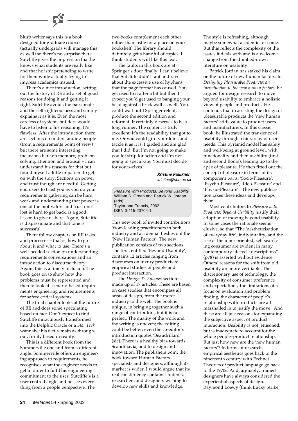blurb writer says this is a book designed for graduate courses (actually undergrads will manage this as well) so there's no surprise there. Sutcliffe gives the impression that he knows what students are really like and that he isn't pretending to write for them while actually trying to impress academics instead.

There's a nice introduction, setting out the history of RE and a set of good reasons for doing it and getting it right. Sutcliffe avoids the passionate and the self-righteousness and simply explains it as it is. Even the most careless of systems builders would have to listen to his reasoning. It's flawless. After the introduction there are sections on understanding people (from a requirements point of view) but there are some interesting inclusions here on memory, problem solving, attention and arousal – I can understand his reasons for that but found myself a little impatient to get on with the story. Sections on power and trust though are needful. Getting end users to trust you as you do your requirements gathering can be hard work and understanding that power is one of the motivators and trust once lost is hard to get back, is a good lesson to give us here. Again, Sutcliffe is dispassionate and that tone is successful.

There follow chapters on RE tasks and processes – that is, how to go about it and what to use. There's a well-needed section on understanding requirements conversations and an introduction to discourse theory. Again, this is a timely inclusion. The book goes on to show how the problems must be represented and then to look at scenario-based requirements engineering and requirements for safety critical systems.

The final chapter looks at the future of RE and does some speculating based on fact. Don't expect to find Sutcliffe miraculously transformed into the Delphic Oracle or a *Star Trek* wannabe; his feet remain as throughout, firmly based in reality.

This is a different book from the Sommerville one and from a different angle. Sommerville offers an engineering approach to requirements; he recognises what the engineer needs to get in order to fulfil his engineering commitment to the user. Sutcliffe's is a user centred angle and he sees everything from a people perspective. The

two books complement each other rather than jostle for a place on your bookshelf. The library should definitely get a handful of copies. I think students will like this text.

The faults in this book are at Springer's door finally. I can't believe that Sutcliffe didn't rant and rave about the excessive use of hyphens that the page format has caused. You get used to it after a bit but then I expect you'd get used to banging your head against a brick wall as well. You could wait until Springer relent, produce the second edition and reformat. It certainly deserves to be a long runner. The content is truly excellent; it's the readability that got to me. Or you could gird your loins and tackle it as it is. I girded and am glad that I did. But I'm not going to make you lot strip for action and I'm not going to specul-ate. You must decide for yours-elves.

> **Xristine Faulkner** xristine@sbu.ac.uk

Pleasure with Products: Beyond Usability William S. Green and Patrick W. Jordan (eds) Taylor and Francis, 2002 ISBN 0-415-23704-1

This new book of invited contributions 'from leading practitioners in both industry and academia' fleshes out the 'New Human Factors'. The new publication consists of two sections. The first, entitled 'Beyond Usability', contains 12 articles ranging from discourses on luxury products to empirical studies of people and product interaction.

The *Design Techniques* section is made up of 17 articles. These are based on case studies that encompass all areas of design, from the motor industry to the web. The book is unique, in bringing together such a range of contributors, but it is not perfect. The quality of the work and the writing is uneven; the editing could be better; even the co-editor's introduction quotes 'Beaudrillard' (sic). There is a healthy bias towards Scandinavia, and to design and innovation. The publishers point the book toward Human Factors specialists and designers, although its market is wider. I would argue that its real constituency contains students, researchers and designers wishing to develop new skills and knowledge.

The style is refreshing, although maybe somewhat academic for some. But this reflects the complexity of the issues it deals with and is a welcome change from the dumbed-down literature on usability.

Patrick Jordan has staked his claim on the future of new human factors. In *Designing Pleasurable Products; an introduction to the new human factors,* he argued for design research to move beyond usability to embrace a holistic view of people and products. He contends that in assisting the design of pleasurable products the 'new human factors' adds value to product users and manufacturers. In this classic book, he illustrated the transience of usability through a hierarchy of user needs. This pyramid model has safety and well-being at ground level, with functionality and then usability (first and second floors), leading up to the apex of pleasure. He then fitted out the concept of pleasure in terms of its component parts: 'Socio-Pleasure', 'Psycho-Pleasure', 'Ideo-Pleasure' and 'Physio-Pleasure'. The new publication takes these ideas and develops them.

Most contributors to *Pleasure with Products: Beyond Usability* justify their adoption of moving beyond usability. In some cases the rationale seems elusive, so that "The 'aestheticisation of everyday life', individuality, and the rise of the inner oriented, self searching consumer are evident in many contemporary lifecycle descriptions" (p78) is asserted without evidence. Others' reasons for the shift from old usability are more verifiable. The discretionary use of technology, the complexity of consumer preference and expectations, the limitations of a focus on evaluation and problem finding, the character of people's relationship with products are all marshalled in to justify the move. And these are all just reasons for expanding the subjective aspect of product interaction. Usability is not jettisoned, but is inadequate to account for the whole people–product relationship. But just how new are the 'new human factors'? In terms of research, empirical aesthetics goes back to the nineteenth century with Fechner. Theories of product language go back to the 1970s. And, arguably, trained designers have always considered the experiential aspects of design. Raymond Loewy (think Lucky Strike,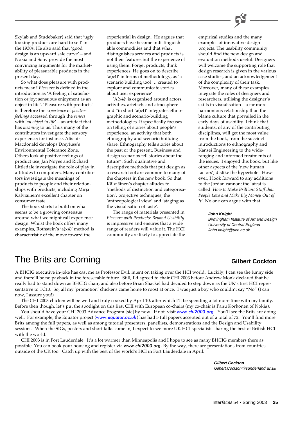

So what does pleasure with products mean? *Pleasure* is defined in the introduction as 'A feeling of satisfaction or joy: sensuous enjoyment as an object in life'. 'Pleasure with products' is therefore the *experience* of *positive feelings* accessed through the *senses* with '*an object in life*' – an artefact that has *meaning* to us. Thus many of the contributors investigate the sensory experience; for instance, Alistair Macdonald develops Dreyfuss's Environmental Tolerance Zone. Others look at positive feelings of product use; Jan Noyes and Richard Littledale investigate the role of play in attitudes to computers. Many contributors investigate the meanings of products to people and their relationships with products, including Mirja Kälviäinen's excellent chapter on consumer taste.

The book starts to build on what seems to be a growing consensus around what we might call experience design. Whilst the book offers many examples, Rothstein's 'a(x4)' method is characteristic of the move toward the

experiential in design. He argues that products have become indistinguishable commodities and that what distinguishes services and products is not their features but the experience of using them. Forget products, think experiences. He goes on to describe  $a(x4)'$  in terms of methodology, as 'a scenario building tool … created to explore and communicate stories about user experience'.

 $'A(x4)'$  is organised around actors, activities, artefacts and atmosphere and "in short ' $a(x4)$ ' integrates ethnographic and scenario-building methodologies. It specifically focuses on telling of stories about people's experience, an activity that both ethnography and scenario building share. Ethnography tells stories about the past or the present. Business and design scenarios tell stories about the future". Such qualitative and descriptive methods that put design as a research tool are common to many of the chapters in the new book. So that Kälviäinen's chapter alludes to 'methods of distinction and categorisation', projective techniques, the 'anthropological view' and 'staging as the visualisation of taste'.

The range of materials presented in *Pleasure with Products: Beyond Usability* is impressive and ensures that a wide range of readers will value it. The HCI community are likely to appreciate the

empirical studies and the many examples of innovative design projects. The usability community should find the new design and evaluation methods useful. Designers will welcome the supporting role that design research is given in the various case studies, and an acknowledgement of the complexity of their task. Moreover, many of these examples integrate the roles of designers and researchers, utilising the designer's skills in visualisation – a far more harmonious relationship than the blame culture that prevailed in the early days of usability. I think that students, of any of the contributing disciplines, will get the most value from the book, from the succinct introductions to ethnography and Kansei Engineering to the wideranging and informed treatments of the issues. I enjoyed this book, but like other aspects of the 'new human factors', dislike the hyperbole. However, I look forward to any additions to the Jordan cannon; the latest is called '*How to Make Brilliant Stuff that People Love and Make Big Money Out of It*'. No one can argue with that.

#### **John Knight**

Birmingham Institute of Art and Design University of Central England John.knight@uce.ac.uk

# The Brits are Coming **Gilbert Cockton**

A BHCIG executive in-joke has cast me as Professor Evil, intent on taking over the HCI world. Luckily, I can see the funny side and there'll be no payback in the foreseeable future. Still, I'd agreed to chair CHI 2003 before Andrew Monk declared that he really had to stand down as BHCIG chair, and also before Brian Shackel had decided to step down as the UK's first HCI representative to TC13. So, all my 'promotion' chickens came home to roost at once. I was just a boy who couldn't say "No" (I can now, I assure you!)

The CHI 2003 chicken will be well and truly cooked by April 10, after which I'll be spending a lot more time with my family. Before then though, let's put the spotlight on this first CHI with European co-chairs (my co-chair is Panu Korhonen of Nokia).

You should have your CHI 2003 Advance Program [sic] by now. If not, visit [www.chi2003.org](http://www.chi2003.org/). You'll see the Brits are doing well. For example, the Equator project ([www.equator.ac.uk](http://www.equator.ac.uk/)) has had 5 full papers accepted out of a total of 72. You'll find more Brits among the full papers, as well as among tutorial presenters, panellists, demonstrations and the Design and Usability sessions. When the SIGs, posters and short talks come in, I expect to see more UK HCI specialists sharing the best of British HCI with the world.

CHI 2003 is in Fort Lauderdale. It's a lot warmer than Minneapolis and I hope to see as many BHCIG members there as possible. You can book your housing and register via www.chi2003.org. By the way, there are presentations from countries outside of the UK too! Catch up with the best of the world's HCI in Fort Lauderdale in April.

> **Gilbert Cockton** Gilbert.Cockton@sunderland.ac.uk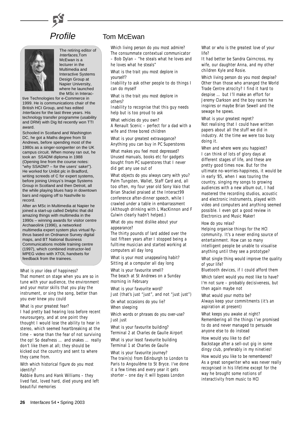



The retiring editor of Interfaces,Tom McEwan is a lecturer in the Multimedia and Interactive Systems Design Group at Napier University, where he launched the MSc in Interac-

tive Technologies for e-Commerce in 1999. He is communications chair of the British HCI Group, and has edited Interfaces for the last three years. His technology transfer programme (usability and DRM) with Dig ltd recently won TTI award.

Schooled in Scotland and Washington DC, he got a Maths degree from St Andrews, before spending most of the 1980s as a singer-songwriter on the UK campus circuit. When money ran out, he took an SSADM diploma in 1988 (Opening line from the course notes: "why SSADM? – for the users' sake!"). He worked for Unibit plc in Bradford, writing screeds of C for expert systems, before joining Unisys's Image Systems Group in Scotland and then Detroit, all the while playing blues harp in downtown bars and nipping off to Nashville to record.

After an MSc in Multimedia at Napier he joined a start-up called Delphic that did amazing things with multimedia in the 1990s – winning awards for visitor centre Archaeolink (1996), a networked multimedia expert system plus virtual flythrus based on Ordnance Survey digital maps, and BT National Business Communications mobile training centre (1997), which combined instructor-led MPEG video with XTOL handsets for feedback from the trainees.

#### *What is your idea of happiness?*

That moment on stage when you are so in tune with your audience, the environment and your motor skills that you play the instrument, or sing the song, better than you ever knew you could

*What is your greatest fear?*

I had pretty bad hearing loss before recent neurosurgery, and at one point they thought I would lose the ability to hear in stereo, which seemed heartbreaking at the time – worse than the fear of not surviving the op! So deafness … and snakes … really don't like them at all; they should be kicked out the country and sent to where they came from.

*With which historical figure do you most identify?*

Rabbie Burns and Hank Williams – they lived fast, loved hard, died young and left beautiful memories

# Profile Tom McEwan

*Which living person do you most admire?* The consummate contextual communicator – Bob Dylan – "he steals what he loves and he loves what he steals"

*What is the trait you most deplore in yourself?*

Inability to ask other people to do things I can do myself

*What is the trait you most deplore in others?*

Inability to recognise that this guy needs help but is too proud to ask

*What vehicles do you own?*

A Renault Scenic – perfect for a dad with a wife and three bored children

*What is your greatest extravagance?* Anything you can buy in PC Superstores

*What makes you feel most depressed?* Unused manuals, books etc for gadgets bought from PC superstores that I never did get any use out of

*What objects do you always carry with you?* Palm Tungsten, Wallet, Staff Card and, all too often, my four year old Sony Vaio that Brian Shackel praised at the Interact99 conference after-dinner speech, while I crawled under a table in embarrassment (Although drinking with L MacKinnon and F Culwin clearly hadn't helped.)

*What do you most dislike about your appearance?*

The thirty pounds of lard added over the last fifteen years after I stopped being a fulltime musician and started working at computers all day long

*What is your most unappealing habit?* Sitting at a computer all day long

*What is your favourite smell?* The beach at St Andrews on a Sunday morning in February

*What is your favourite word?* Just (that's just "just", and not "just just")

*On what occasions do you lie?* When sleeping

*Which words or phrases do you over-use?* Just just

*What is your favourite building?* Terminal 2 at Charles de Gaulle Airport

*What is your least favourite building* Terminal 1 at Charles de Gaulle

*What is your favourite journey?* The train(s) from Edinburgh to London to Paris to Angoulême to St Bryce. I've done it a few times and every year it gets shorter – one day it will bypass London

*What or who is the greatest love of your life?*

It had better be Sandra Cairncross, my wife, our daughter Anna, and my other children Kyle and Rosie.

*Which living person do you most despise?* Other than those who arranged the World Trade Centre atrocity? I find it hard to despise … but I'll make an effort for Jeremy Clarkson and the boy racers he inspires or maybe Brian Sewell and the sewage he spews.

*What is your greatest regret?* Not realising that I could have written papers about all the stuff we did in industry. At the time we were too busy doing it.

*When and where were you happiest?* I can think of lots of glory days at different stages of life, and these are pretty good times now. But for the ultimate no-worries-happiness, it would be in early '85, when I was touring the country, singing my songs to growing audiences with a new album out, I had mastered the recording studios, acoustic and electronic instruments, played with video and computers and anything seemed possible. I even got a good review in Electronics and Music Maker!

*How do you relax?*

Helping organise things for the HCI community. It's a never ending source of entertainment. How can so many intelligent people be unable to visualise anything until they see a prototype?

*What single thing would improve the quality of your life?*

Bluetooth devices, if I could afford them

*Which talent would you most like to have?* I'm not sure – probably decisiveness, but then again maybe not

*What would your motto be?* Always keep your commitments (it's an aspiration at present)

*What keeps you awake at night?* Remembering all the things I've promised to do and never managed to persuade anyone else to do instead

#### *How would you like to die?*

Backstage after a sell-out gig in some dingy club, preferably in my nineties!

*How would you like to be remembered?* As a great songwriter who was never really recognised in his lifetime except for the way he brought some notions of interactivity from music to HCI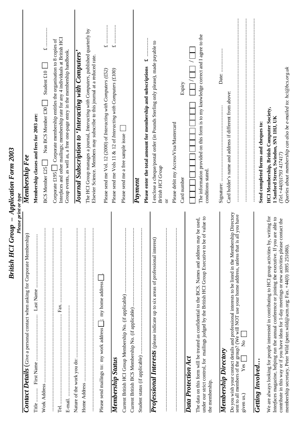| British HCI Group - Application Form 2003<br>Please print or type                                                                                                                                                                                                                                                                                                                                            |                                                                                                                                                                                                                                                           |
|--------------------------------------------------------------------------------------------------------------------------------------------------------------------------------------------------------------------------------------------------------------------------------------------------------------------------------------------------------------------------------------------------------------|-----------------------------------------------------------------------------------------------------------------------------------------------------------------------------------------------------------------------------------------------------------|
| Contact Details (Give a personal contact when asking for Corporate Membership)                                                                                                                                                                                                                                                                                                                               | Membership Fee                                                                                                                                                                                                                                            |
| <br>Title.                                                                                                                                                                                                                                                                                                                                                                                                   | Membership classes and fees for 2003 are:                                                                                                                                                                                                                 |
| $\vdots$<br>Work Address                                                                                                                                                                                                                                                                                                                                                                                     | Student $£10$<br>Non BCS Member £30<br><b>BCS Member £25</b>                                                                                                                                                                                              |
| $\vdots$<br>Fax.<br>Tel                                                                                                                                                                                                                                                                                                                                                                                      | Interfaces and other mailings; membership rate for any 4 individuals at British HCI<br>Corporate £195 $\Box$ Corporate membership entitles the organisation to 8 copies of<br>Group events, as well as, a free one-page entry in the membership handbook. |
| ŧ                                                                                                                                                                                                                                                                                                                                                                                                            | Journal Subscription to 'Interacting with Computers'                                                                                                                                                                                                      |
| $\vdots$<br>$\vdots$                                                                                                                                                                                                                                                                                                                                                                                         | The HCI Group manages a journal, Interacting with Computers, published quarterly by<br>Elsevier Science. Members may subscribe to this journal at a reduced rate.                                                                                         |
| Please send mailings to: my work address [62]; my home address                                                                                                                                                                                                                                                                                                                                               | $\overline{\mathbf{r}}$<br>Please send me Vol. 12 (2000) of Interacting with Computers (£52)                                                                                                                                                              |
| Membership Status                                                                                                                                                                                                                                                                                                                                                                                            | $\overline{u}$<br>Please send me Vols 11 & 12 of Interacting with Computers (£100)                                                                                                                                                                        |
| $\vdots$                                                                                                                                                                                                                                                                                                                                                                                                     | Please send me a free sample issue                                                                                                                                                                                                                        |
| $\vdots$<br>:<br>:<br>:<br>:<br>:<br>:                                                                                                                                                                                                                                                                                                                                                                       |                                                                                                                                                                                                                                                           |
| $\vdots$                                                                                                                                                                                                                                                                                                                                                                                                     | વન<br>Please enter the total amount for membership and subscriptions<br>$\overline{P}ayment$                                                                                                                                                              |
| Professional Interests (please indicate up to six areas of professional interest)                                                                                                                                                                                                                                                                                                                            | I enclose a cheque/postal order (in Pounds Sterling only please), made payable to                                                                                                                                                                         |
| $\vdots$                                                                                                                                                                                                                                                                                                                                                                                                     | <b>British HCI Group</b><br>ð                                                                                                                                                                                                                             |
| $\vdots$                                                                                                                                                                                                                                                                                                                                                                                                     | Please debit my Access/Visa/Mastercard                                                                                                                                                                                                                    |
|                                                                                                                                                                                                                                                                                                                                                                                                              | Expiry<br>Card number                                                                                                                                                                                                                                     |
| value to<br>The data on this form will be treated as confidential to the BCS. Names and address may be used,<br>under our strict control, for mailings judged by the British HCI Group Executive to be of<br>Data Protection Act<br>the membership.                                                                                                                                                          | The information provided on this form is to my knowledge correct and I agree to the<br>conditions stated.                                                                                                                                                 |
| <b>Membership Directory</b>                                                                                                                                                                                                                                                                                                                                                                                  |                                                                                                                                                                                                                                                           |
| Do you wish your contact details and professional interests to be listed in the Membership Directory<br>you have<br>sent to all members of the group? (We will NOT use your home address, unless that is all<br>$\mathsf{\hat{z}}$<br>$Yes \Gamma$<br>given us.)                                                                                                                                             | Card holder's name and address if different from above:                                                                                                                                                                                                   |
| <b>Getting Involved</b>                                                                                                                                                                                                                                                                                                                                                                                      | Send completed forms and cheques to:                                                                                                                                                                                                                      |
| We are always looking for people interested in contributing to HCI group activities by, writing for<br>able to<br>tact the<br>Interfaces magazine, helping run the annual conference or joining the executive. If you are<br>contribute in this way or if you have ideas for 1-day meetings or new activities please cont<br>membership secretary, Peter Wild (peter.wild@acm.org; Fax. +44(0) 1895 251686). | Queries about membership can also be e-mailed to: hci@bcs.org.uk<br><b>HCI Membership, British Computer Society,</b><br>1 Sanford Street, Swindon, SN1 1HJ, UK<br>$(Tel + 44(0)I7934I74I7)$                                                               |